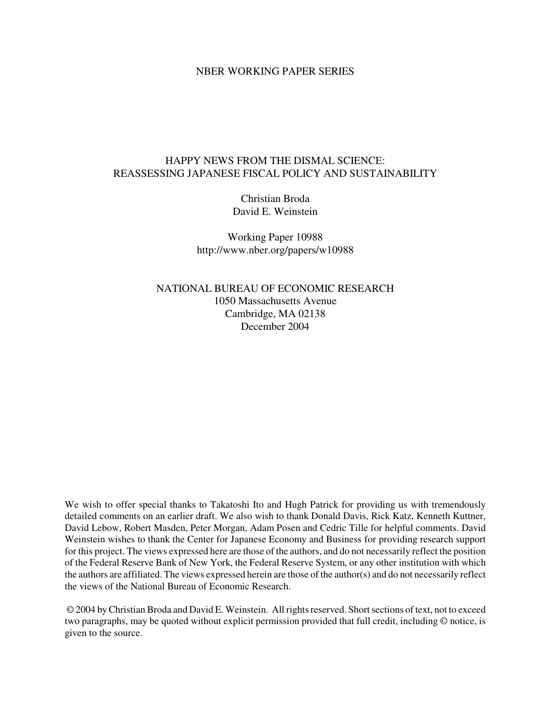#### NBER WORKING PAPER SERIES

## HAPPY NEWS FROM THE DISMAL SCIENCE: REASSESSING JAPANESE FISCAL POLICY AND SUSTAINABILITY

Christian Broda David E. Weinstein

Working Paper 10988 http://www.nber.org/papers/w10988

NATIONAL BUREAU OF ECONOMIC RESEARCH 1050 Massachusetts Avenue Cambridge, MA 02138 December 2004

We wish to offer special thanks to Takatoshi Ito and Hugh Patrick for providing us with tremendously detailed comments on an earlier draft. We also wish to thank Donald Davis, Rick Katz, Kenneth Kuttner, David Lebow, Robert Masden, Peter Morgan, Adam Posen and Cedric Tille for helpful comments. David Weinstein wishes to thank the Center for Japanese Economy and Business for providing research support for this project. The views expressed here are those of the authors, and do not necessarily reflect the position of the Federal Reserve Bank of New York, the Federal Reserve System, or any other institution with which the authors are affiliated. The views expressed herein are those of the author(s) and do not necessarily reflect the views of the National Bureau of Economic Research.

© 2004 by Christian Broda and David E. Weinstein. All rights reserved. Short sections of text, not to exceed two paragraphs, may be quoted without explicit permission provided that full credit, including © notice, is given to the source.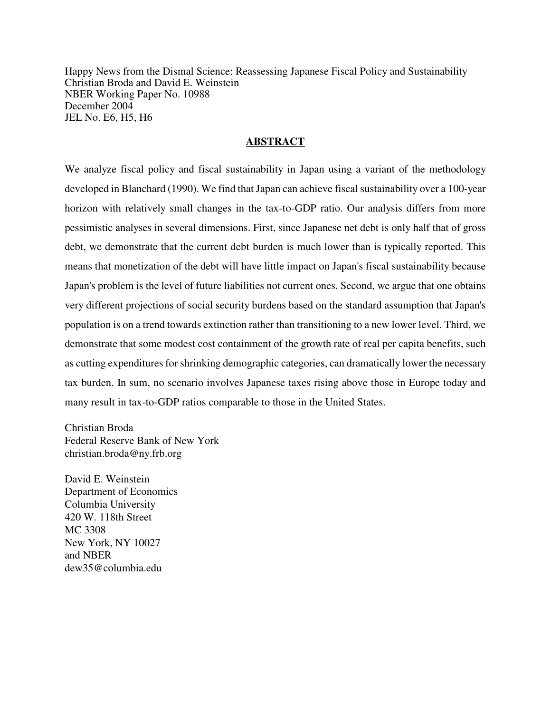Happy News from the Dismal Science: Reassessing Japanese Fiscal Policy and Sustainability Christian Broda and David E. Weinstein NBER Working Paper No. 10988 December 2004 JEL No. E6, H5, H6

## **ABSTRACT**

We analyze fiscal policy and fiscal sustainability in Japan using a variant of the methodology developed in Blanchard (1990). We find that Japan can achieve fiscal sustainability over a 100-year horizon with relatively small changes in the tax-to-GDP ratio. Our analysis differs from more pessimistic analyses in several dimensions. First, since Japanese net debt is only half that of gross debt, we demonstrate that the current debt burden is much lower than is typically reported. This means that monetization of the debt will have little impact on Japan's fiscal sustainability because Japan's problem is the level of future liabilities not current ones. Second, we argue that one obtains very different projections of social security burdens based on the standard assumption that Japan's population is on a trend towards extinction rather than transitioning to a new lower level. Third, we demonstrate that some modest cost containment of the growth rate of real per capita benefits, such as cutting expenditures for shrinking demographic categories, can dramatically lower the necessary tax burden. In sum, no scenario involves Japanese taxes rising above those in Europe today and many result in tax-to-GDP ratios comparable to those in the United States.

Christian Broda Federal Reserve Bank of New York christian.broda@ny.frb.org

David E. Weinstein Department of Economics Columbia University 420 W. 118th Street MC 3308 New York, NY 10027 and NBER dew35@columbia.edu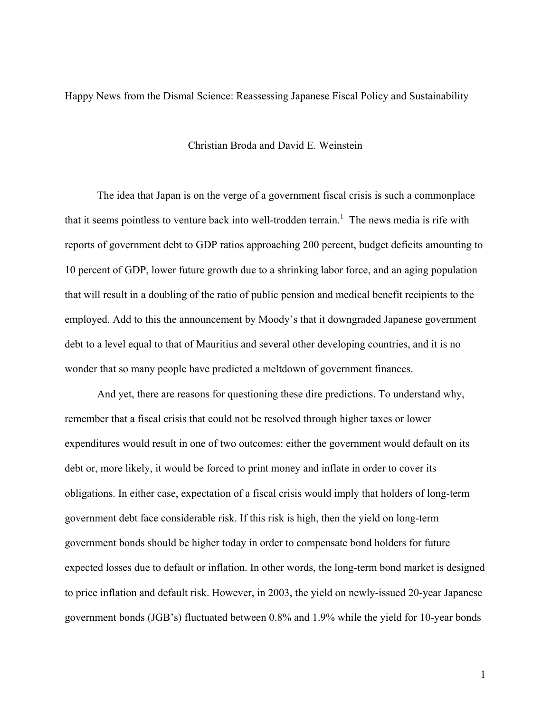Happy News from the Dismal Science: Reassessing Japanese Fiscal Policy and Sustainability

#### Christian Broda and David E. Weinstein

 The idea that Japan is on the verge of a government fiscal crisis is such a commonplace that it seems pointless to venture back into well-trodden terrain.<sup>1</sup> The news media is rife with reports of government debt to GDP ratios approaching 200 percent, budget deficits amounting to 10 percent of GDP, lower future growth due to a shrinking labor force, and an aging population that will result in a doubling of the ratio of public pension and medical benefit recipients to the employed. Add to this the announcement by Moody's that it downgraded Japanese government debt to a level equal to that of Mauritius and several other developing countries, and it is no wonder that so many people have predicted a meltdown of government finances.

And yet, there are reasons for questioning these dire predictions. To understand why, remember that a fiscal crisis that could not be resolved through higher taxes or lower expenditures would result in one of two outcomes: either the government would default on its debt or, more likely, it would be forced to print money and inflate in order to cover its obligations. In either case, expectation of a fiscal crisis would imply that holders of long-term government debt face considerable risk. If this risk is high, then the yield on long-term government bonds should be higher today in order to compensate bond holders for future expected losses due to default or inflation. In other words, the long-term bond market is designed to price inflation and default risk. However, in 2003, the yield on newly-issued 20-year Japanese government bonds (JGB's) fluctuated between 0.8% and 1.9% while the yield for 10-year bonds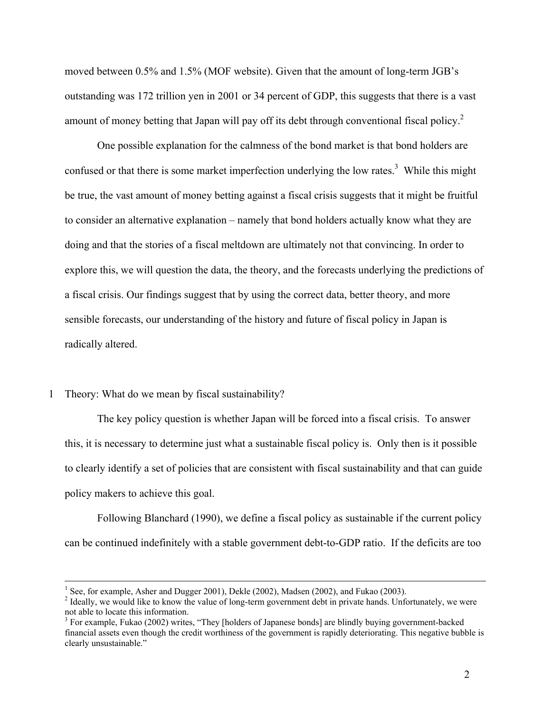moved between 0.5% and 1.5% (MOF website). Given that the amount of long-term JGB's outstanding was 172 trillion yen in 2001 or 34 percent of GDP, this suggests that there is a vast amount of money betting that Japan will pay off its debt through conventional fiscal policy.<sup>2</sup>

One possible explanation for the calmness of the bond market is that bond holders are confused or that there is some market imperfection underlying the low rates.<sup>3</sup> While this might be true, the vast amount of money betting against a fiscal crisis suggests that it might be fruitful to consider an alternative explanation – namely that bond holders actually know what they are doing and that the stories of a fiscal meltdown are ultimately not that convincing. In order to explore this, we will question the data, the theory, and the forecasts underlying the predictions of a fiscal crisis. Our findings suggest that by using the correct data, better theory, and more sensible forecasts, our understanding of the history and future of fiscal policy in Japan is radically altered.

### 1 Theory: What do we mean by fiscal sustainability?

The key policy question is whether Japan will be forced into a fiscal crisis. To answer this, it is necessary to determine just what a sustainable fiscal policy is. Only then is it possible to clearly identify a set of policies that are consistent with fiscal sustainability and that can guide policy makers to achieve this goal.

 Following Blanchard (1990), we define a fiscal policy as sustainable if the current policy can be continued indefinitely with a stable government debt-to-GDP ratio. If the deficits are too

 $\frac{1}{1}$ <sup>1</sup> See, for example, Asher and Dugger 2001), Dekle (2002), Madsen (2002), and Fukao (2003).

<sup>&</sup>lt;sup>2</sup> Ideally, we would like to know the value of long-term government debt in private hands. Unfortunately, we were not able to locate this information.

 $3$  For example, Fukao (2002) writes, "They [holders of Japanese bonds] are blindly buying government-backed financial assets even though the credit worthiness of the government is rapidly deteriorating. This negative bubble is clearly unsustainable."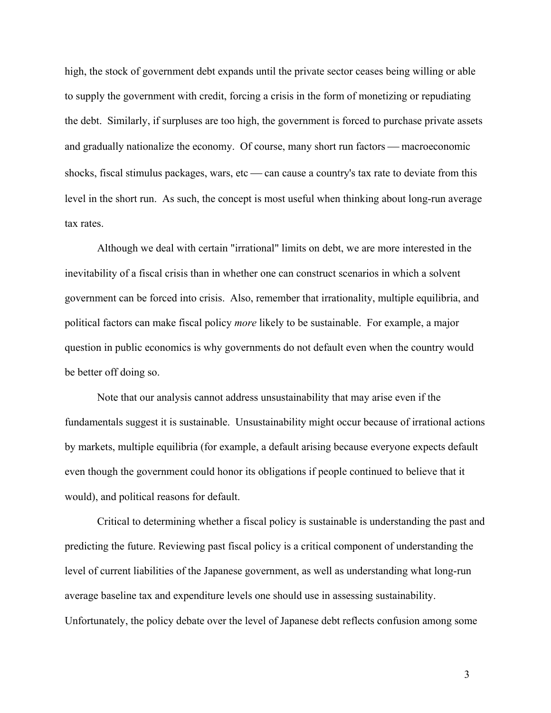high, the stock of government debt expands until the private sector ceases being willing or able to supply the government with credit, forcing a crisis in the form of monetizing or repudiating the debt. Similarly, if surpluses are too high, the government is forced to purchase private assets and gradually nationalize the economy. Of course, many short run factors — macroeconomic shocks, fiscal stimulus packages, wars, etc  $\sim$  can cause a country's tax rate to deviate from this level in the short run. As such, the concept is most useful when thinking about long-run average tax rates.

 Although we deal with certain "irrational" limits on debt, we are more interested in the inevitability of a fiscal crisis than in whether one can construct scenarios in which a solvent government can be forced into crisis. Also, remember that irrationality, multiple equilibria, and political factors can make fiscal policy *more* likely to be sustainable. For example, a major question in public economics is why governments do not default even when the country would be better off doing so.

 Note that our analysis cannot address unsustainability that may arise even if the fundamentals suggest it is sustainable. Unsustainability might occur because of irrational actions by markets, multiple equilibria (for example, a default arising because everyone expects default even though the government could honor its obligations if people continued to believe that it would), and political reasons for default.

 Critical to determining whether a fiscal policy is sustainable is understanding the past and predicting the future. Reviewing past fiscal policy is a critical component of understanding the level of current liabilities of the Japanese government, as well as understanding what long-run average baseline tax and expenditure levels one should use in assessing sustainability. Unfortunately, the policy debate over the level of Japanese debt reflects confusion among some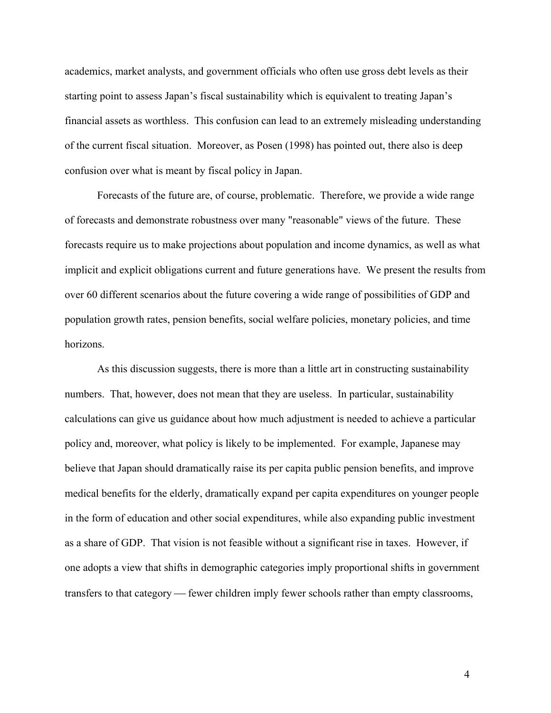academics, market analysts, and government officials who often use gross debt levels as their starting point to assess Japan's fiscal sustainability which is equivalent to treating Japan's financial assets as worthless. This confusion can lead to an extremely misleading understanding of the current fiscal situation. Moreover, as Posen (1998) has pointed out, there also is deep confusion over what is meant by fiscal policy in Japan.

 Forecasts of the future are, of course, problematic. Therefore, we provide a wide range of forecasts and demonstrate robustness over many "reasonable" views of the future. These forecasts require us to make projections about population and income dynamics, as well as what implicit and explicit obligations current and future generations have. We present the results from over 60 different scenarios about the future covering a wide range of possibilities of GDP and population growth rates, pension benefits, social welfare policies, monetary policies, and time horizons.

 As this discussion suggests, there is more than a little art in constructing sustainability numbers. That, however, does not mean that they are useless. In particular, sustainability calculations can give us guidance about how much adjustment is needed to achieve a particular policy and, moreover, what policy is likely to be implemented. For example, Japanese may believe that Japan should dramatically raise its per capita public pension benefits, and improve medical benefits for the elderly, dramatically expand per capita expenditures on younger people in the form of education and other social expenditures, while also expanding public investment as a share of GDP. That vision is not feasible without a significant rise in taxes. However, if one adopts a view that shifts in demographic categories imply proportional shifts in government transfers to that category — fewer children imply fewer schools rather than empty classrooms,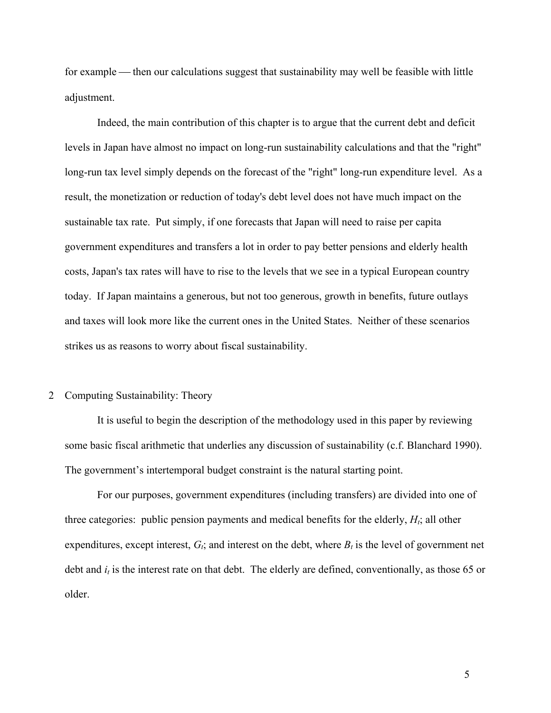for example — then our calculations suggest that sustainability may well be feasible with little adjustment.

 Indeed, the main contribution of this chapter is to argue that the current debt and deficit levels in Japan have almost no impact on long-run sustainability calculations and that the "right" long-run tax level simply depends on the forecast of the "right" long-run expenditure level. As a result, the monetization or reduction of today's debt level does not have much impact on the sustainable tax rate. Put simply, if one forecasts that Japan will need to raise per capita government expenditures and transfers a lot in order to pay better pensions and elderly health costs, Japan's tax rates will have to rise to the levels that we see in a typical European country today. If Japan maintains a generous, but not too generous, growth in benefits, future outlays and taxes will look more like the current ones in the United States. Neither of these scenarios strikes us as reasons to worry about fiscal sustainability.

#### 2 Computing Sustainability: Theory

It is useful to begin the description of the methodology used in this paper by reviewing some basic fiscal arithmetic that underlies any discussion of sustainability (c.f. Blanchard 1990). The government's intertemporal budget constraint is the natural starting point.

For our purposes, government expenditures (including transfers) are divided into one of three categories: public pension payments and medical benefits for the elderly,  $H_t$ ; all other expenditures, except interest,  $G_t$ ; and interest on the debt, where  $B_t$  is the level of government net debt and  $i_t$  is the interest rate on that debt. The elderly are defined, conventionally, as those 65 or older.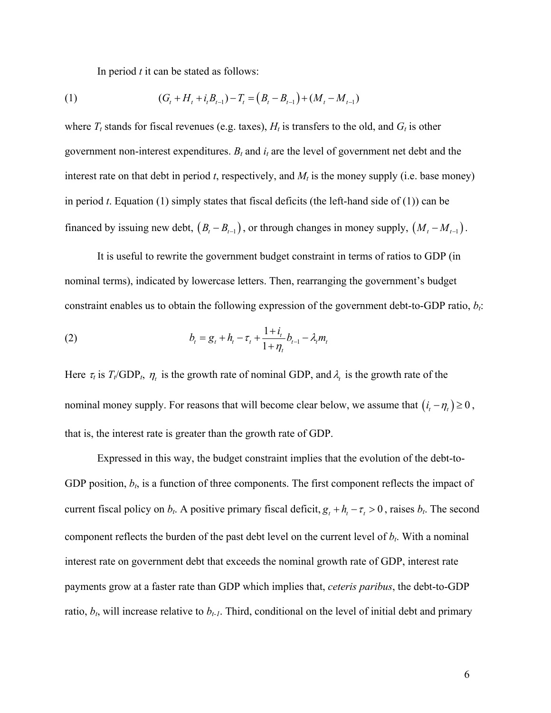In period *t* it can be stated as follows:

(1) 
$$
(G_t + H_t + i_t B_{t-1}) - T_t = (B_t - B_{t-1}) + (M_t - M_{t-1})
$$

where  $T_t$  stands for fiscal revenues (e.g. taxes),  $H_t$  is transfers to the old, and  $G_t$  is other government non-interest expenditures.  $B_t$  and  $i_t$  are the level of government net debt and the interest rate on that debt in period *t*, respectively, and  $M_t$  is the money supply (i.e. base money) in period *t*. Equation (1) simply states that fiscal deficits (the left-hand side of (1)) can be financed by issuing new debt,  $(B_t - B_{t-1})$ , or through changes in money supply,  $(M_t - M_{t-1})$ .

 It is useful to rewrite the government budget constraint in terms of ratios to GDP (in nominal terms), indicated by lowercase letters. Then, rearranging the government's budget constraint enables us to obtain the following expression of the government debt-to-GDP ratio,  $b_i$ :

(2) 
$$
b_{t} = g_{t} + h_{t} - \tau_{t} + \frac{1 + i_{t}}{1 + \eta_{t}} b_{t-1} - \lambda_{t} m_{t}
$$

Here  $\tau_t$  is  $T_t/\text{GDP}_t$ ,  $\eta_t$  is the growth rate of nominal GDP, and  $\lambda_t$  is the growth rate of the nominal money supply. For reasons that will become clear below, we assume that  $(i_t - \eta_t) \ge 0$ , that is, the interest rate is greater than the growth rate of GDP.

 Expressed in this way, the budget constraint implies that the evolution of the debt-to-GDP position,  $b_t$ , is a function of three components. The first component reflects the impact of current fiscal policy on  $b_t$ . A positive primary fiscal deficit,  $g_t + h_t - \tau_t > 0$ , raises  $b_t$ . The second component reflects the burden of the past debt level on the current level of  $b_t$ . With a nominal interest rate on government debt that exceeds the nominal growth rate of GDP, interest rate payments grow at a faster rate than GDP which implies that, *ceteris paribus*, the debt-to-GDP ratio,  $b_t$ , will increase relative to  $b_{t-1}$ . Third, conditional on the level of initial debt and primary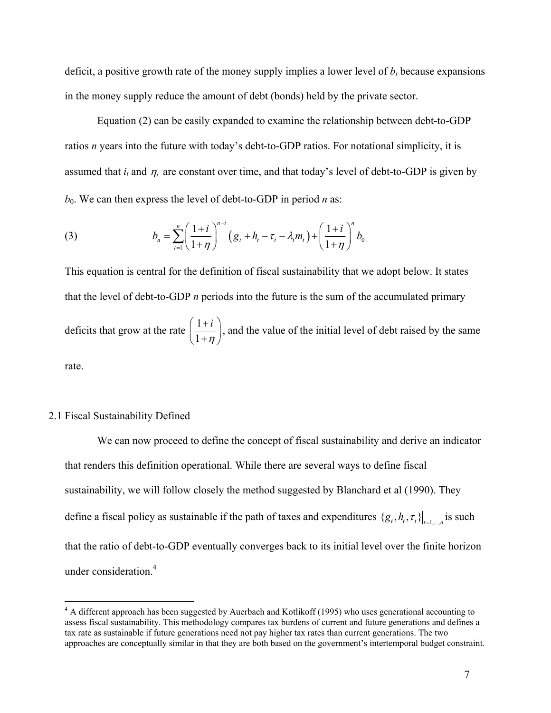deficit, a positive growth rate of the money supply implies a lower level of  $b_t$  because expansions in the money supply reduce the amount of debt (bonds) held by the private sector.

 Equation (2) can be easily expanded to examine the relationship between debt-to-GDP ratios *n* years into the future with today's debt-to-GDP ratios. For notational simplicity, it is assumed that  $i_t$  and  $\eta_t$  are constant over time, and that today's level of debt-to-GDP is given by  $b_0$ . We can then express the level of debt-to-GDP in period *n* as:

(3) 
$$
b_n = \sum_{t=1}^n \left( \frac{1+i}{1+\eta} \right)^{n-t} \left( g_t + h_t - \tau_t - \lambda_t m_t \right) + \left( \frac{1+i}{1+\eta} \right)^n b_0
$$

This equation is central for the definition of fiscal sustainability that we adopt below. It states that the level of debt-to-GDP *n* periods into the future is the sum of the accumulated primary deficits that grow at the rate  $\left(\frac{1}{1}\right)$ 1 *i*  $\left(\frac{1+i}{1+\eta}\right)$ , and the value of the initial level of debt raised by the same rate.

## 2.1 Fiscal Sustainability Defined

We can now proceed to define the concept of fiscal sustainability and derive an indicator that renders this definition operational. While there are several ways to define fiscal sustainability, we will follow closely the method suggested by Blanchard et al (1990). They define a fiscal policy as sustainable if the path of taxes and expenditures  $\{g_t, h_t, \tau_t\}_{t=1}$  is such that the ratio of debt-to-GDP eventually converges back to its initial level over the finite horizon under consideration.<sup>4</sup>

<sup>&</sup>lt;sup>4</sup> A different approach has been suggested by Auerbach and Kotlikoff (1995) who uses generational accounting to assess fiscal sustainability. This methodology compares tax burdens of current and future generations and defines a tax rate as sustainable if future generations need not pay higher tax rates than current generations. The two approaches are conceptually similar in that they are both based on the government's intertemporal budget constraint.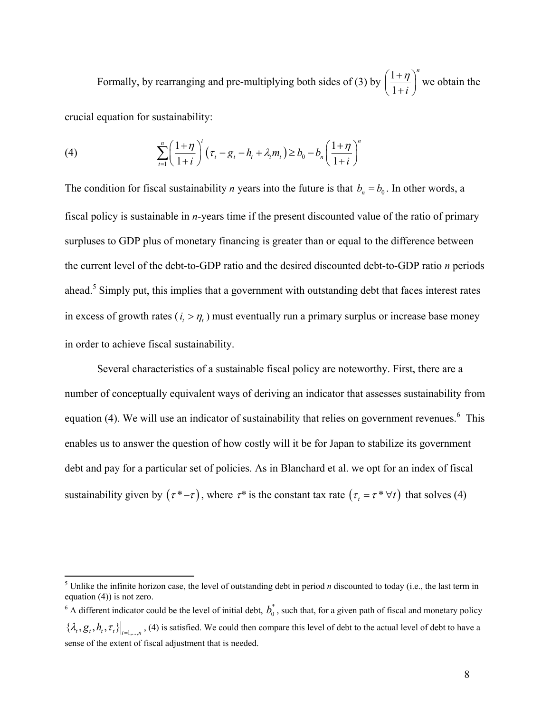Formally, by rearranging and pre-multiplying both sides of (3) by  $\left(\frac{1}{2}\right)$ 1 *n*  $\left(\frac{1+\eta}{1+i}\right)^n$  we obtain the crucial equation for sustainability:

(4)  $\sum_{1 \le i \le l} \left| \frac{1 + i \eta}{1 + i \eta} \right| (\tau_t - g_t - h_t + \lambda_t m_t) \ge b_0$ 1  $1 + \eta \begin{pmatrix} 1 & 1 \\ 1 & 1 \end{pmatrix}$ 1 1  $\binom{n}{1+n}^t$   $\binom{n}{n}^n$  $t \quad \delta_t \quad n_t + \kappa_t m_t = v_0 \quad v_n$  $\sum_{t=1}^{n} \left( \frac{1+\eta}{1+i} \right) \left( \tau_t - g_t - h_t + \lambda_t m_t \right) \ge b_0 - b_n \left( \frac{1+\eta}{1+i} \right)$  $\sum_{t=1}^n \left( \frac{1+\eta}{1+i} \right)^t \left( \tau_t - g_t - h_t + \lambda_t m_t \right) \ge b_0 - b_n \left( \frac{1+\eta}{1+i} \right)$ 

The condition for fiscal sustainability *n* years into the future is that  $b_n = b_0$ . In other words, a fiscal policy is sustainable in *n*-years time if the present discounted value of the ratio of primary surpluses to GDP plus of monetary financing is greater than or equal to the difference between the current level of the debt-to-GDP ratio and the desired discounted debt-to-GDP ratio *n* periods ahead.<sup>5</sup> Simply put, this implies that a government with outstanding debt that faces interest rates in excess of growth rates  $(i_{\textit{i}} > \eta_{\textit{i}})$  must eventually run a primary surplus or increase base money in order to achieve fiscal sustainability.

Several characteristics of a sustainable fiscal policy are noteworthy. First, there are a number of conceptually equivalent ways of deriving an indicator that assesses sustainability from equation (4). We will use an indicator of sustainability that relies on government revenues.<sup>6</sup> This enables us to answer the question of how costly will it be for Japan to stabilize its government debt and pay for a particular set of policies. As in Blanchard et al. we opt for an index of fiscal sustainability given by  $(\tau^* - \tau)$ , where  $\tau^*$  is the constant tax rate  $(\tau, = \tau^* \forall t)$  that solves (4)

<sup>&</sup>lt;sup>5</sup> Unlike the infinite horizon case, the level of outstanding debt in period *n* discounted to today (i.e., the last term in equation (4)) is not zero.

 $6$  A different indicator could be the level of initial debt,  $b_0^*$ , such that, for a given path of fiscal and monetary policy  $\{\lambda_i, g_i, h_i, \tau_i\}\big|_{t=1,\ldots,n}$ , (4) is satisfied. We could then compare this level of debt to the actual level of debt to have a sense of the extent of fiscal adjustment that is needed.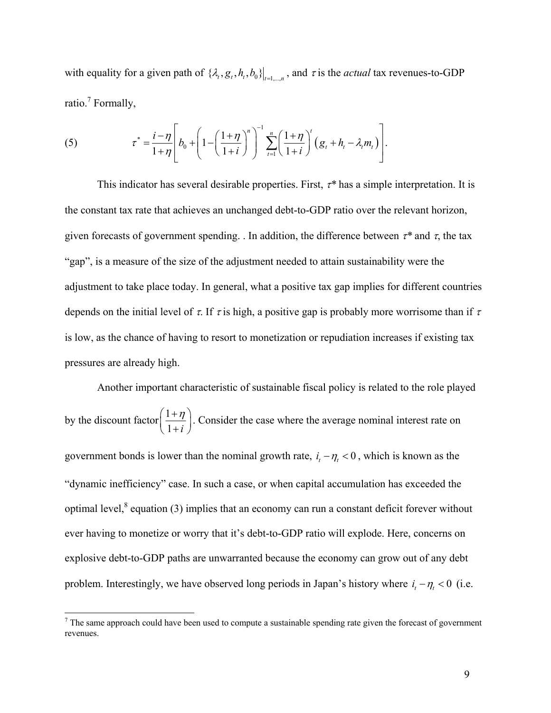with equality for a given path of  $\{\lambda_i, g_i, h_i, b_0\}\big|_{t=1,\dots,n}$ , and  $\tau$  is the *actual* tax revenues-to-GDP ratio.<sup>7</sup> Formally,

(5) 
$$
\tau^* = \frac{i - \eta}{1 + \eta} \left[ b_0 + \left( 1 - \left( \frac{1 + \eta}{1 + i} \right)^n \right)^{-1} \sum_{t=1}^n \left( \frac{1 + \eta}{1 + i} \right)^t (g_t + h_t - \lambda_t m_t) \right].
$$

This indicator has several desirable properties. First, τ*\** has a simple interpretation. It is the constant tax rate that achieves an unchanged debt-to-GDP ratio over the relevant horizon, given forecasts of government spending. . In addition, the difference between  $\tau^*$  and  $\tau$ , the tax "gap", is a measure of the size of the adjustment needed to attain sustainability were the adjustment to take place today. In general, what a positive tax gap implies for different countries depends on the initial level of  $\tau$ . If  $\tau$  is high, a positive gap is probably more worrisome than if  $\tau$ is low, as the chance of having to resort to monetization or repudiation increases if existing tax pressures are already high.

Another important characteristic of sustainable fiscal policy is related to the role played by the discount factor  $\left(\frac{1}{2}\right)$  $\left(\frac{1+\eta}{1+i}\right)$ . Consider the case where the average nominal interest rate on government bonds is lower than the nominal growth rate,  $i_t - \eta_t < 0$ , which is known as the "dynamic inefficiency" case. In such a case, or when capital accumulation has exceeded the optimal level, $^8$  equation (3) implies that an economy can run a constant deficit forever without ever having to monetize or worry that it's debt-to-GDP ratio will explode. Here, concerns on explosive debt-to-GDP paths are unwarranted because the economy can grow out of any debt problem. Interestingly, we have observed long periods in Japan's history where  $i_t - \eta_t < 0$  (i.e.

 $<sup>7</sup>$  The same approach could have been used to compute a sustainable spending rate given the forecast of government</sup> revenues.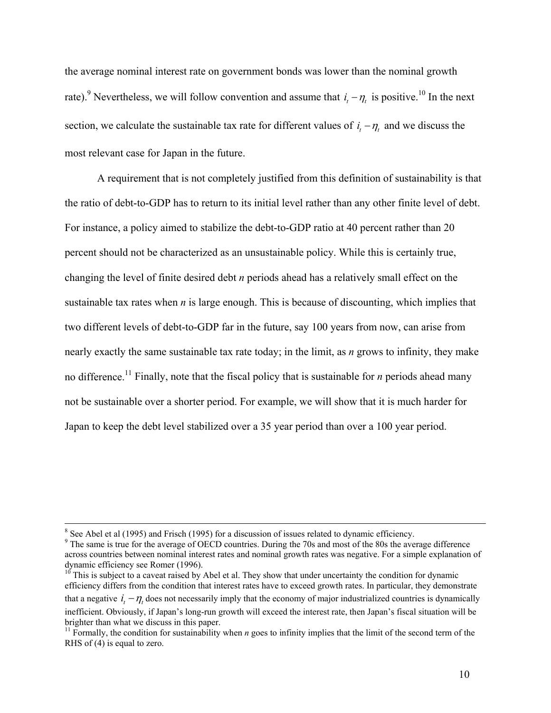the average nominal interest rate on government bonds was lower than the nominal growth rate).<sup>9</sup> Nevertheless, we will follow convention and assume that  $i_t - \eta_t$  is positive.<sup>10</sup> In the next section, we calculate the sustainable tax rate for different values of  $i_t - \eta_t$  and we discuss the most relevant case for Japan in the future.

A requirement that is not completely justified from this definition of sustainability is that the ratio of debt-to-GDP has to return to its initial level rather than any other finite level of debt. For instance, a policy aimed to stabilize the debt-to-GDP ratio at 40 percent rather than 20 percent should not be characterized as an unsustainable policy. While this is certainly true, changing the level of finite desired debt *n* periods ahead has a relatively small effect on the sustainable tax rates when *n* is large enough. This is because of discounting, which implies that two different levels of debt-to-GDP far in the future, say 100 years from now, can arise from nearly exactly the same sustainable tax rate today; in the limit, as *n* grows to infinity, they make no difference.<sup>11</sup> Finally, note that the fiscal policy that is sustainable for *n* periods ahead many not be sustainable over a shorter period. For example, we will show that it is much harder for Japan to keep the debt level stabilized over a 35 year period than over a 100 year period.

 <sup>8</sup> <sup>8</sup> See Abel et al (1995) and Frisch (1995) for a discussion of issues related to dynamic efficiency.

<sup>&</sup>lt;sup>9</sup> The same is true for the average of OECD countries. During the 70s and most of the 80s the average difference across countries between nominal interest rates and nominal growth rates was negative. For a simple explanation of dynamic efficiency see Romer (1996).

 $10^{\circ}$  This is subject to a caveat raised by Abel et al. They show that under uncertainty the condition for dynamic efficiency differs from the condition that interest rates have to exceed growth rates. In particular, they demonstrate that a negative  $i_{t} - \eta_{t}$  does not necessarily imply that the economy of major industrialized countries is dynamically inefficient. Obviously, if Japan's long-run growth will exceed the interest rate, then Japan's fiscal situation will be brighter than what we discuss in this paper.

<sup>&</sup>lt;sup>11</sup> Formally, the condition for sustainability when  $n$  goes to infinity implies that the limit of the second term of the RHS of (4) is equal to zero.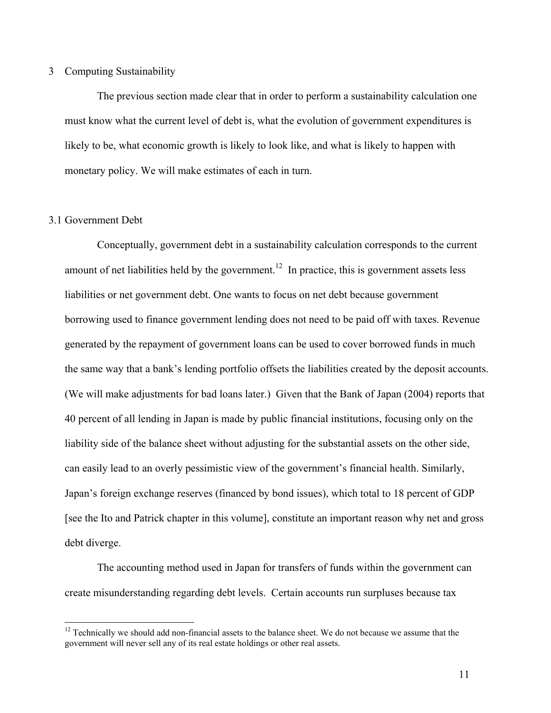#### 3 Computing Sustainability

The previous section made clear that in order to perform a sustainability calculation one must know what the current level of debt is, what the evolution of government expenditures is likely to be, what economic growth is likely to look like, and what is likely to happen with monetary policy. We will make estimates of each in turn.

#### 3.1 Government Debt

1

Conceptually, government debt in a sustainability calculation corresponds to the current amount of net liabilities held by the government.<sup>12</sup> In practice, this is government assets less liabilities or net government debt. One wants to focus on net debt because government borrowing used to finance government lending does not need to be paid off with taxes. Revenue generated by the repayment of government loans can be used to cover borrowed funds in much the same way that a bank's lending portfolio offsets the liabilities created by the deposit accounts. (We will make adjustments for bad loans later.) Given that the Bank of Japan (2004) reports that 40 percent of all lending in Japan is made by public financial institutions, focusing only on the liability side of the balance sheet without adjusting for the substantial assets on the other side, can easily lead to an overly pessimistic view of the government's financial health. Similarly, Japan's foreign exchange reserves (financed by bond issues), which total to 18 percent of GDP [see the Ito and Patrick chapter in this volume], constitute an important reason why net and gross debt diverge.

The accounting method used in Japan for transfers of funds within the government can create misunderstanding regarding debt levels. Certain accounts run surpluses because tax

<sup>&</sup>lt;sup>12</sup> Technically we should add non-financial assets to the balance sheet. We do not because we assume that the government will never sell any of its real estate holdings or other real assets.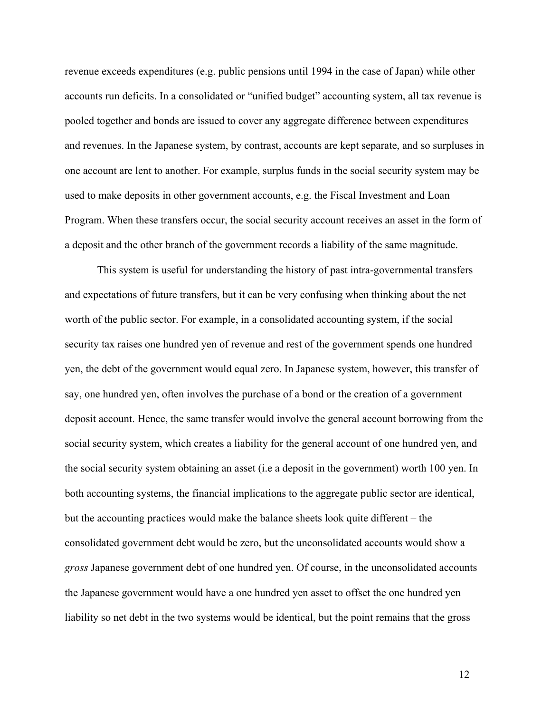revenue exceeds expenditures (e.g. public pensions until 1994 in the case of Japan) while other accounts run deficits. In a consolidated or "unified budget" accounting system, all tax revenue is pooled together and bonds are issued to cover any aggregate difference between expenditures and revenues. In the Japanese system, by contrast, accounts are kept separate, and so surpluses in one account are lent to another. For example, surplus funds in the social security system may be used to make deposits in other government accounts, e.g. the Fiscal Investment and Loan Program. When these transfers occur, the social security account receives an asset in the form of a deposit and the other branch of the government records a liability of the same magnitude.

This system is useful for understanding the history of past intra-governmental transfers and expectations of future transfers, but it can be very confusing when thinking about the net worth of the public sector. For example, in a consolidated accounting system, if the social security tax raises one hundred yen of revenue and rest of the government spends one hundred yen, the debt of the government would equal zero. In Japanese system, however, this transfer of say, one hundred yen, often involves the purchase of a bond or the creation of a government deposit account. Hence, the same transfer would involve the general account borrowing from the social security system, which creates a liability for the general account of one hundred yen, and the social security system obtaining an asset (i.e a deposit in the government) worth 100 yen. In both accounting systems, the financial implications to the aggregate public sector are identical, but the accounting practices would make the balance sheets look quite different – the consolidated government debt would be zero, but the unconsolidated accounts would show a *gross* Japanese government debt of one hundred yen. Of course, in the unconsolidated accounts the Japanese government would have a one hundred yen asset to offset the one hundred yen liability so net debt in the two systems would be identical, but the point remains that the gross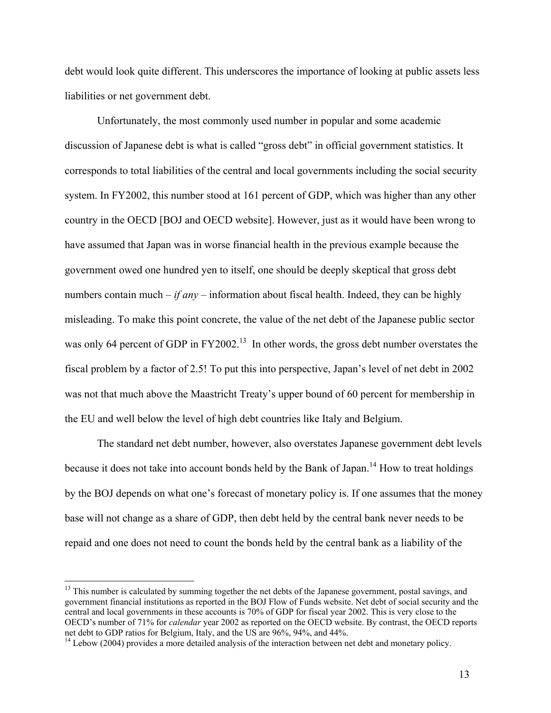debt would look quite different. This underscores the importance of looking at public assets less liabilities or net government debt.

 Unfortunately, the most commonly used number in popular and some academic discussion of Japanese debt is what is called "gross debt" in official government statistics. It corresponds to total liabilities of the central and local governments including the social security system. In FY2002, this number stood at 161 percent of GDP, which was higher than any other country in the OECD [BOJ and OECD website]. However, just as it would have been wrong to have assumed that Japan was in worse financial health in the previous example because the government owed one hundred yen to itself, one should be deeply skeptical that gross debt numbers contain much  $-i f \text{ any } -$  information about fiscal health. Indeed, they can be highly misleading. To make this point concrete, the value of the net debt of the Japanese public sector was only 64 percent of GDP in FY2002.<sup>13</sup> In other words, the gross debt number overstates the fiscal problem by a factor of 2.5! To put this into perspective, Japan's level of net debt in 2002 was not that much above the Maastricht Treaty's upper bound of 60 percent for membership in the EU and well below the level of high debt countries like Italy and Belgium.

 The standard net debt number, however, also overstates Japanese government debt levels because it does not take into account bonds held by the Bank of Japan.<sup>14</sup> How to treat holdings by the BOJ depends on what one's forecast of monetary policy is. If one assumes that the money base will not change as a share of GDP, then debt held by the central bank never needs to be repaid and one does not need to count the bonds held by the central bank as a liability of the

 $\overline{a}$ 

<sup>&</sup>lt;sup>13</sup> This number is calculated by summing together the net debts of the Japanese government, postal savings, and government financial institutions as reported in the BOJ Flow of Funds website. Net debt of social security and the central and local governments in these accounts is 70% of GDP for fiscal year 2002. This is very close to the OECD's number of 71% for *calendar* year 2002 as reported on the OECD website. By contrast, the OECD reports net debt to GDP ratios for Belgium, Italy, and the US are 96%, 94%, and 44%.<br><sup>14</sup> Lebow (2004) provides a more detailed analysis of the interaction between net debt and monetary policy.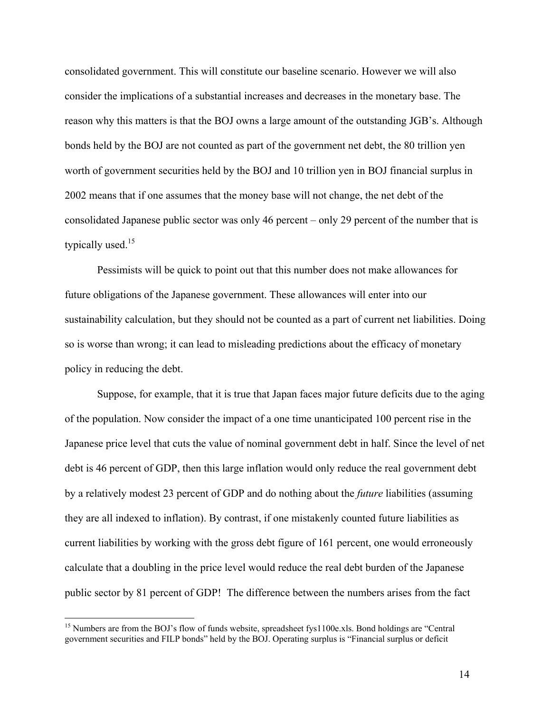consolidated government. This will constitute our baseline scenario. However we will also consider the implications of a substantial increases and decreases in the monetary base. The reason why this matters is that the BOJ owns a large amount of the outstanding JGB's. Although bonds held by the BOJ are not counted as part of the government net debt, the 80 trillion yen worth of government securities held by the BOJ and 10 trillion yen in BOJ financial surplus in 2002 means that if one assumes that the money base will not change, the net debt of the consolidated Japanese public sector was only 46 percent – only 29 percent of the number that is typically used. $15$ 

 Pessimists will be quick to point out that this number does not make allowances for future obligations of the Japanese government. These allowances will enter into our sustainability calculation, but they should not be counted as a part of current net liabilities. Doing so is worse than wrong; it can lead to misleading predictions about the efficacy of monetary policy in reducing the debt.

Suppose, for example, that it is true that Japan faces major future deficits due to the aging of the population. Now consider the impact of a one time unanticipated 100 percent rise in the Japanese price level that cuts the value of nominal government debt in half. Since the level of net debt is 46 percent of GDP, then this large inflation would only reduce the real government debt by a relatively modest 23 percent of GDP and do nothing about the *future* liabilities (assuming they are all indexed to inflation). By contrast, if one mistakenly counted future liabilities as current liabilities by working with the gross debt figure of 161 percent, one would erroneously calculate that a doubling in the price level would reduce the real debt burden of the Japanese public sector by 81 percent of GDP! The difference between the numbers arises from the fact

 $\overline{a}$ 

<sup>&</sup>lt;sup>15</sup> Numbers are from the BOJ's flow of funds website, spreadsheet fys1100e.xls. Bond holdings are "Central government securities and FILP bonds" held by the BOJ. Operating surplus is "Financial surplus or deficit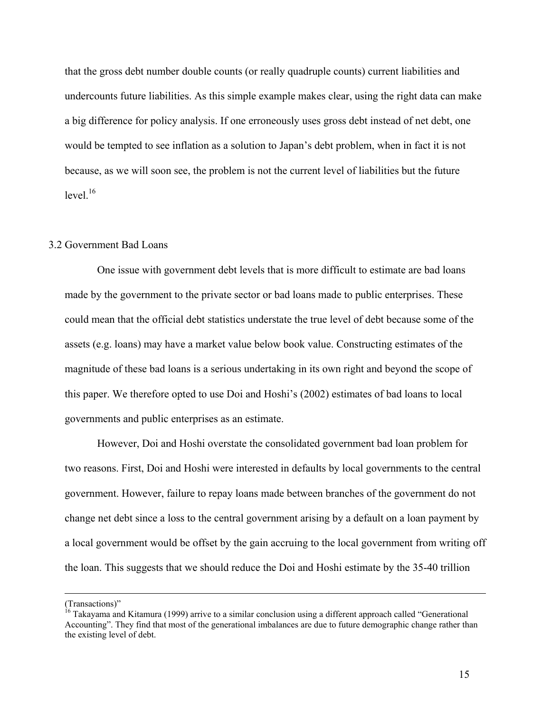that the gross debt number double counts (or really quadruple counts) current liabilities and undercounts future liabilities. As this simple example makes clear, using the right data can make a big difference for policy analysis. If one erroneously uses gross debt instead of net debt, one would be tempted to see inflation as a solution to Japan's debt problem, when in fact it is not because, as we will soon see, the problem is not the current level of liabilities but the future  $level<sup>16</sup>$ 

#### 3.2 Government Bad Loans

 One issue with government debt levels that is more difficult to estimate are bad loans made by the government to the private sector or bad loans made to public enterprises. These could mean that the official debt statistics understate the true level of debt because some of the assets (e.g. loans) may have a market value below book value. Constructing estimates of the magnitude of these bad loans is a serious undertaking in its own right and beyond the scope of this paper. We therefore opted to use Doi and Hoshi's (2002) estimates of bad loans to local governments and public enterprises as an estimate.

However, Doi and Hoshi overstate the consolidated government bad loan problem for two reasons. First, Doi and Hoshi were interested in defaults by local governments to the central government. However, failure to repay loans made between branches of the government do not change net debt since a loss to the central government arising by a default on a loan payment by a local government would be offset by the gain accruing to the local government from writing off the loan. This suggests that we should reduce the Doi and Hoshi estimate by the 35-40 trillion

 <sup>(</sup>Transactions)"

<sup>&</sup>lt;sup>16</sup> Takayama and Kitamura (1999) arrive to a similar conclusion using a different approach called "Generational Accounting". They find that most of the generational imbalances are due to future demographic change rather than the existing level of debt.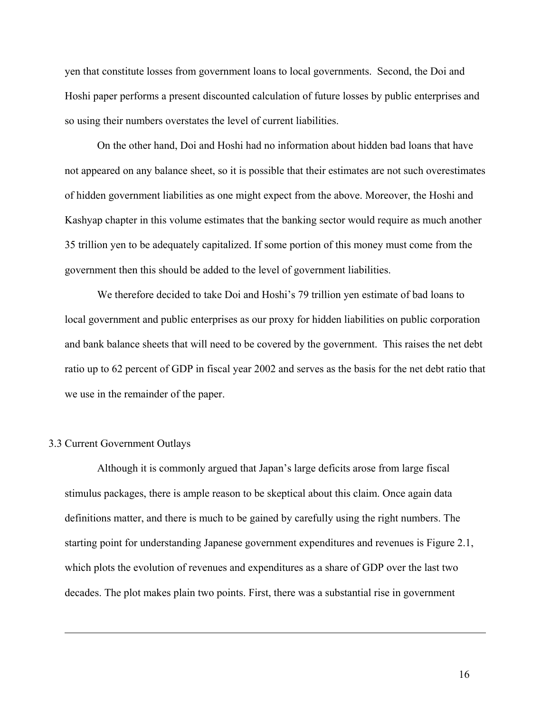yen that constitute losses from government loans to local governments. Second, the Doi and Hoshi paper performs a present discounted calculation of future losses by public enterprises and so using their numbers overstates the level of current liabilities.

On the other hand, Doi and Hoshi had no information about hidden bad loans that have not appeared on any balance sheet, so it is possible that their estimates are not such overestimates of hidden government liabilities as one might expect from the above. Moreover, the Hoshi and Kashyap chapter in this volume estimates that the banking sector would require as much another 35 trillion yen to be adequately capitalized. If some portion of this money must come from the government then this should be added to the level of government liabilities.

We therefore decided to take Doi and Hoshi's 79 trillion yen estimate of bad loans to local government and public enterprises as our proxy for hidden liabilities on public corporation and bank balance sheets that will need to be covered by the government. This raises the net debt ratio up to 62 percent of GDP in fiscal year 2002 and serves as the basis for the net debt ratio that we use in the remainder of the paper.

#### 3.3 Current Government Outlays

 $\overline{a}$ 

 Although it is commonly argued that Japan's large deficits arose from large fiscal stimulus packages, there is ample reason to be skeptical about this claim. Once again data definitions matter, and there is much to be gained by carefully using the right numbers. The starting point for understanding Japanese government expenditures and revenues is Figure 2.1, which plots the evolution of revenues and expenditures as a share of GDP over the last two decades. The plot makes plain two points. First, there was a substantial rise in government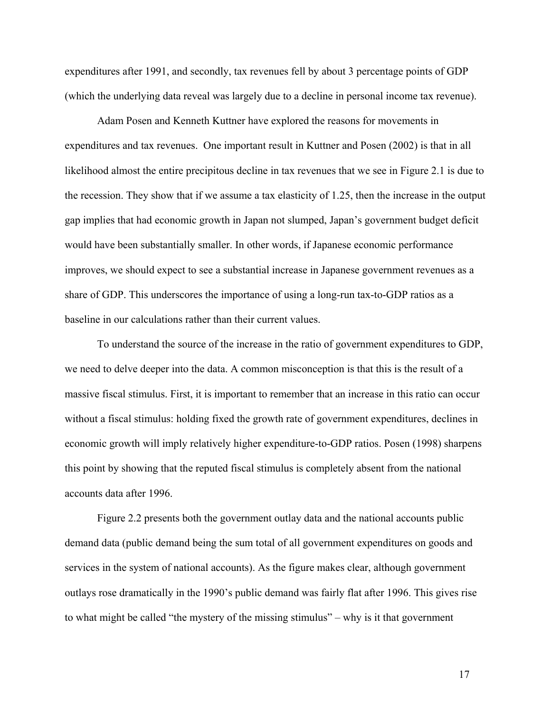expenditures after 1991, and secondly, tax revenues fell by about 3 percentage points of GDP (which the underlying data reveal was largely due to a decline in personal income tax revenue).

 Adam Posen and Kenneth Kuttner have explored the reasons for movements in expenditures and tax revenues. One important result in Kuttner and Posen (2002) is that in all likelihood almost the entire precipitous decline in tax revenues that we see in Figure 2.1 is due to the recession. They show that if we assume a tax elasticity of 1.25, then the increase in the output gap implies that had economic growth in Japan not slumped, Japan's government budget deficit would have been substantially smaller. In other words, if Japanese economic performance improves, we should expect to see a substantial increase in Japanese government revenues as a share of GDP. This underscores the importance of using a long-run tax-to-GDP ratios as a baseline in our calculations rather than their current values.

 To understand the source of the increase in the ratio of government expenditures to GDP, we need to delve deeper into the data. A common misconception is that this is the result of a massive fiscal stimulus. First, it is important to remember that an increase in this ratio can occur without a fiscal stimulus: holding fixed the growth rate of government expenditures, declines in economic growth will imply relatively higher expenditure-to-GDP ratios. Posen (1998) sharpens this point by showing that the reputed fiscal stimulus is completely absent from the national accounts data after 1996.

Figure 2.2 presents both the government outlay data and the national accounts public demand data (public demand being the sum total of all government expenditures on goods and services in the system of national accounts). As the figure makes clear, although government outlays rose dramatically in the 1990's public demand was fairly flat after 1996. This gives rise to what might be called "the mystery of the missing stimulus" – why is it that government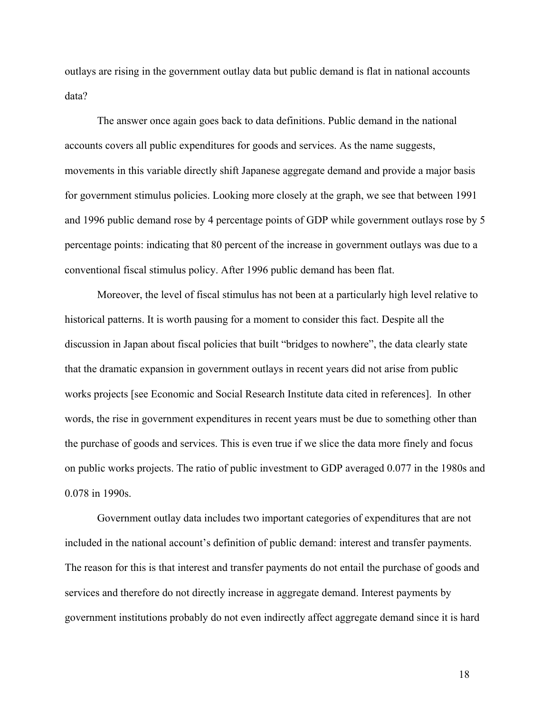outlays are rising in the government outlay data but public demand is flat in national accounts data?

 The answer once again goes back to data definitions. Public demand in the national accounts covers all public expenditures for goods and services. As the name suggests, movements in this variable directly shift Japanese aggregate demand and provide a major basis for government stimulus policies. Looking more closely at the graph, we see that between 1991 and 1996 public demand rose by 4 percentage points of GDP while government outlays rose by 5 percentage points: indicating that 80 percent of the increase in government outlays was due to a conventional fiscal stimulus policy. After 1996 public demand has been flat.

Moreover, the level of fiscal stimulus has not been at a particularly high level relative to historical patterns. It is worth pausing for a moment to consider this fact. Despite all the discussion in Japan about fiscal policies that built "bridges to nowhere", the data clearly state that the dramatic expansion in government outlays in recent years did not arise from public works projects [see Economic and Social Research Institute data cited in references]. In other words, the rise in government expenditures in recent years must be due to something other than the purchase of goods and services. This is even true if we slice the data more finely and focus on public works projects. The ratio of public investment to GDP averaged 0.077 in the 1980s and 0.078 in 1990s.

 Government outlay data includes two important categories of expenditures that are not included in the national account's definition of public demand: interest and transfer payments. The reason for this is that interest and transfer payments do not entail the purchase of goods and services and therefore do not directly increase in aggregate demand. Interest payments by government institutions probably do not even indirectly affect aggregate demand since it is hard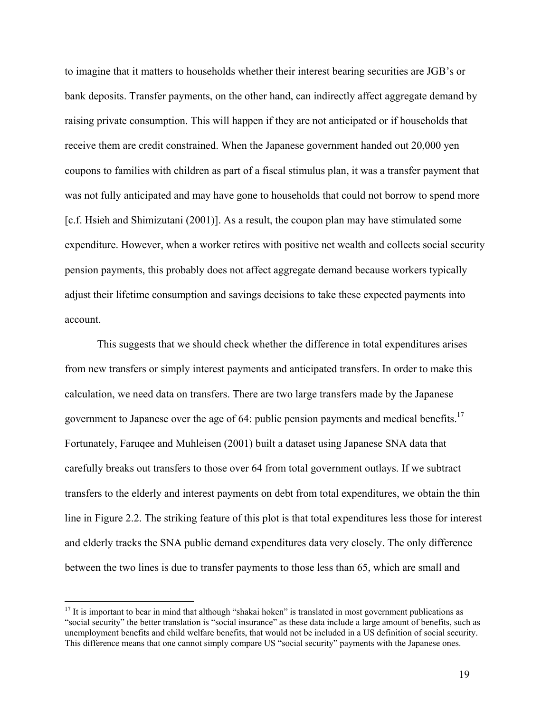to imagine that it matters to households whether their interest bearing securities are JGB's or bank deposits. Transfer payments, on the other hand, can indirectly affect aggregate demand by raising private consumption. This will happen if they are not anticipated or if households that receive them are credit constrained. When the Japanese government handed out 20,000 yen coupons to families with children as part of a fiscal stimulus plan, it was a transfer payment that was not fully anticipated and may have gone to households that could not borrow to spend more [c.f. Hsieh and Shimizutani (2001)]. As a result, the coupon plan may have stimulated some expenditure. However, when a worker retires with positive net wealth and collects social security pension payments, this probably does not affect aggregate demand because workers typically adjust their lifetime consumption and savings decisions to take these expected payments into account.

 This suggests that we should check whether the difference in total expenditures arises from new transfers or simply interest payments and anticipated transfers. In order to make this calculation, we need data on transfers. There are two large transfers made by the Japanese government to Japanese over the age of 64: public pension payments and medical benefits.<sup>17</sup> Fortunately, Faruqee and Muhleisen (2001) built a dataset using Japanese SNA data that carefully breaks out transfers to those over 64 from total government outlays. If we subtract transfers to the elderly and interest payments on debt from total expenditures, we obtain the thin line in Figure 2.2. The striking feature of this plot is that total expenditures less those for interest and elderly tracks the SNA public demand expenditures data very closely. The only difference between the two lines is due to transfer payments to those less than 65, which are small and

 $\overline{a}$ 

 $17$  It is important to bear in mind that although "shakai hoken" is translated in most government publications as "social security" the better translation is "social insurance" as these data include a large amount of benefits, such as unemployment benefits and child welfare benefits, that would not be included in a US definition of social security. This difference means that one cannot simply compare US "social security" payments with the Japanese ones.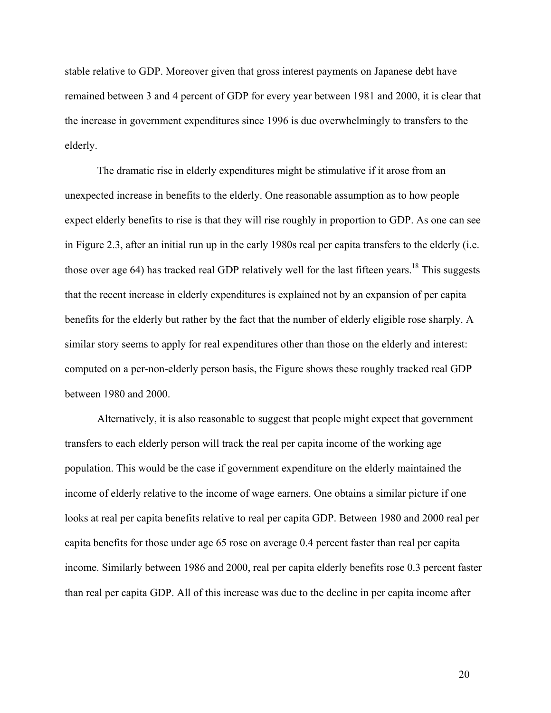stable relative to GDP. Moreover given that gross interest payments on Japanese debt have remained between 3 and 4 percent of GDP for every year between 1981 and 2000, it is clear that the increase in government expenditures since 1996 is due overwhelmingly to transfers to the elderly.

 The dramatic rise in elderly expenditures might be stimulative if it arose from an unexpected increase in benefits to the elderly. One reasonable assumption as to how people expect elderly benefits to rise is that they will rise roughly in proportion to GDP. As one can see in Figure 2.3, after an initial run up in the early 1980s real per capita transfers to the elderly (i.e. those over age 64) has tracked real GDP relatively well for the last fifteen years.<sup>18</sup> This suggests that the recent increase in elderly expenditures is explained not by an expansion of per capita benefits for the elderly but rather by the fact that the number of elderly eligible rose sharply. A similar story seems to apply for real expenditures other than those on the elderly and interest: computed on a per-non-elderly person basis, the Figure shows these roughly tracked real GDP between 1980 and 2000.

Alternatively, it is also reasonable to suggest that people might expect that government transfers to each elderly person will track the real per capita income of the working age population. This would be the case if government expenditure on the elderly maintained the income of elderly relative to the income of wage earners. One obtains a similar picture if one looks at real per capita benefits relative to real per capita GDP. Between 1980 and 2000 real per capita benefits for those under age 65 rose on average 0.4 percent faster than real per capita income. Similarly between 1986 and 2000, real per capita elderly benefits rose 0.3 percent faster than real per capita GDP. All of this increase was due to the decline in per capita income after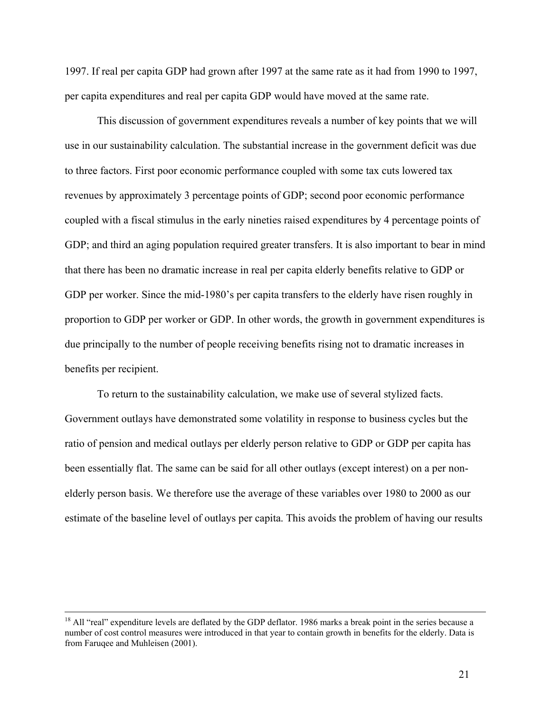1997. If real per capita GDP had grown after 1997 at the same rate as it had from 1990 to 1997, per capita expenditures and real per capita GDP would have moved at the same rate.

 This discussion of government expenditures reveals a number of key points that we will use in our sustainability calculation. The substantial increase in the government deficit was due to three factors. First poor economic performance coupled with some tax cuts lowered tax revenues by approximately 3 percentage points of GDP; second poor economic performance coupled with a fiscal stimulus in the early nineties raised expenditures by 4 percentage points of GDP; and third an aging population required greater transfers. It is also important to bear in mind that there has been no dramatic increase in real per capita elderly benefits relative to GDP or GDP per worker. Since the mid-1980's per capita transfers to the elderly have risen roughly in proportion to GDP per worker or GDP. In other words, the growth in government expenditures is due principally to the number of people receiving benefits rising not to dramatic increases in benefits per recipient.

 To return to the sustainability calculation, we make use of several stylized facts. Government outlays have demonstrated some volatility in response to business cycles but the ratio of pension and medical outlays per elderly person relative to GDP or GDP per capita has been essentially flat. The same can be said for all other outlays (except interest) on a per nonelderly person basis. We therefore use the average of these variables over 1980 to 2000 as our estimate of the baseline level of outlays per capita. This avoids the problem of having our results

 $<sup>18</sup>$  All "real" expenditure levels are deflated by the GDP deflator. 1986 marks a break point in the series because a</sup> number of cost control measures were introduced in that year to contain growth in benefits for the elderly. Data is from Faruqee and Muhleisen (2001).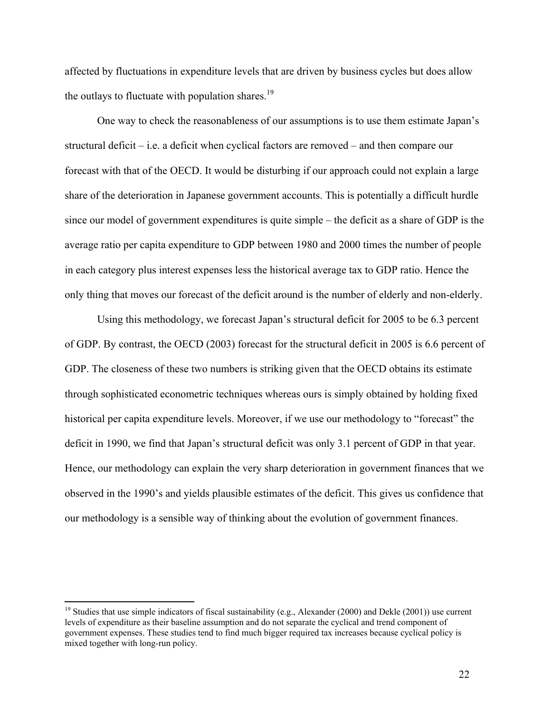affected by fluctuations in expenditure levels that are driven by business cycles but does allow the outlays to fluctuate with population shares. $19$ 

 One way to check the reasonableness of our assumptions is to use them estimate Japan's structural deficit – i.e. a deficit when cyclical factors are removed – and then compare our forecast with that of the OECD. It would be disturbing if our approach could not explain a large share of the deterioration in Japanese government accounts. This is potentially a difficult hurdle since our model of government expenditures is quite simple – the deficit as a share of GDP is the average ratio per capita expenditure to GDP between 1980 and 2000 times the number of people in each category plus interest expenses less the historical average tax to GDP ratio. Hence the only thing that moves our forecast of the deficit around is the number of elderly and non-elderly.

Using this methodology, we forecast Japan's structural deficit for 2005 to be 6.3 percent of GDP. By contrast, the OECD (2003) forecast for the structural deficit in 2005 is 6.6 percent of GDP. The closeness of these two numbers is striking given that the OECD obtains its estimate through sophisticated econometric techniques whereas ours is simply obtained by holding fixed historical per capita expenditure levels. Moreover, if we use our methodology to "forecast" the deficit in 1990, we find that Japan's structural deficit was only 3.1 percent of GDP in that year. Hence, our methodology can explain the very sharp deterioration in government finances that we observed in the 1990's and yields plausible estimates of the deficit. This gives us confidence that our methodology is a sensible way of thinking about the evolution of government finances.

 $\overline{a}$ 

<sup>&</sup>lt;sup>19</sup> Studies that use simple indicators of fiscal sustainability (e.g., Alexander (2000) and Dekle (2001)) use current levels of expenditure as their baseline assumption and do not separate the cyclical and trend component of government expenses. These studies tend to find much bigger required tax increases because cyclical policy is mixed together with long-run policy.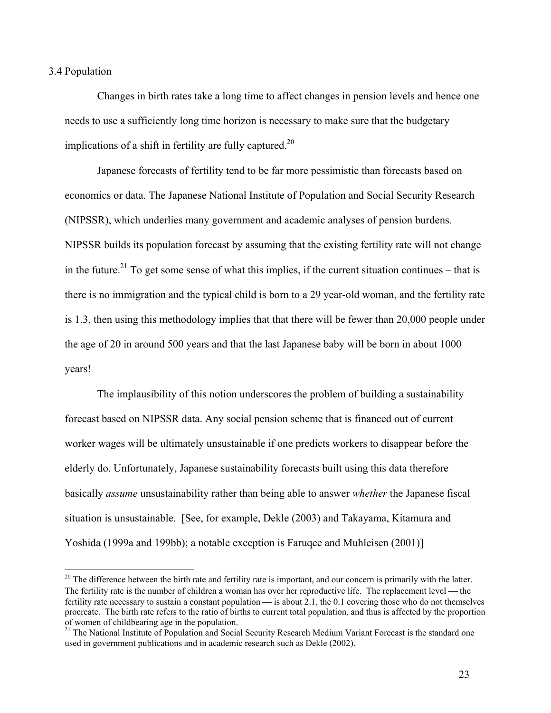#### 3.4 Population

 $\overline{a}$ 

 Changes in birth rates take a long time to affect changes in pension levels and hence one needs to use a sufficiently long time horizon is necessary to make sure that the budgetary implications of a shift in fertility are fully captured.<sup>20</sup>

Japanese forecasts of fertility tend to be far more pessimistic than forecasts based on economics or data. The Japanese National Institute of Population and Social Security Research (NIPSSR), which underlies many government and academic analyses of pension burdens. NIPSSR builds its population forecast by assuming that the existing fertility rate will not change in the future.<sup>21</sup> To get some sense of what this implies, if the current situation continues – that is there is no immigration and the typical child is born to a 29 year-old woman, and the fertility rate is 1.3, then using this methodology implies that that there will be fewer than 20,000 people under the age of 20 in around 500 years and that the last Japanese baby will be born in about 1000 years!

The implausibility of this notion underscores the problem of building a sustainability forecast based on NIPSSR data. Any social pension scheme that is financed out of current worker wages will be ultimately unsustainable if one predicts workers to disappear before the elderly do. Unfortunately, Japanese sustainability forecasts built using this data therefore basically *assume* unsustainability rather than being able to answer *whether* the Japanese fiscal situation is unsustainable. [See, for example, Dekle (2003) and Takayama, Kitamura and Yoshida (1999a and 199bb); a notable exception is Faruqee and Muhleisen (2001)]

 $20$  The difference between the birth rate and fertility rate is important, and our concern is primarily with the latter. The fertility rate is the number of children a woman has over her reproductive life. The replacement level — the fertility rate necessary to sustain a constant population  $\frac{1}{1}$  is about 2.1, the 0.1 covering those who do not themselves procreate. The birth rate refers to the ratio of births to current total population, and thus is affected by the proportion of women of childbearing age in the population.

<sup>&</sup>lt;sup>21</sup> The National Institute of Population and Social Security Research Medium Variant Forecast is the standard one used in government publications and in academic research such as Dekle (2002).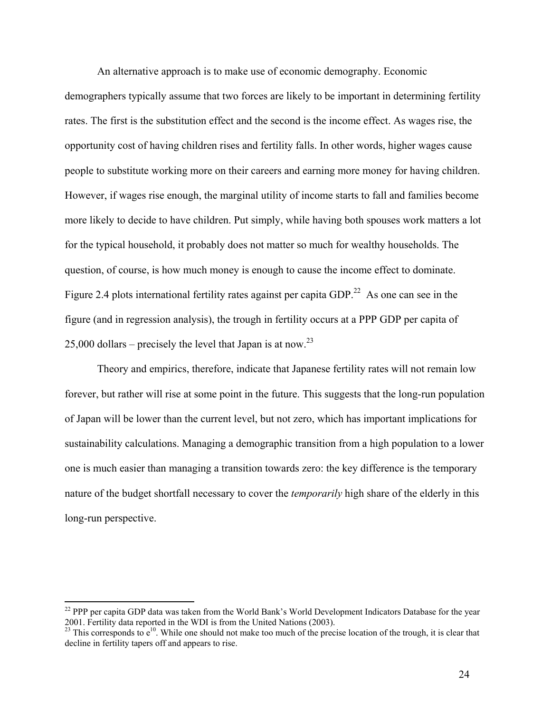An alternative approach is to make use of economic demography. Economic demographers typically assume that two forces are likely to be important in determining fertility rates. The first is the substitution effect and the second is the income effect. As wages rise, the opportunity cost of having children rises and fertility falls. In other words, higher wages cause people to substitute working more on their careers and earning more money for having children. However, if wages rise enough, the marginal utility of income starts to fall and families become more likely to decide to have children. Put simply, while having both spouses work matters a lot for the typical household, it probably does not matter so much for wealthy households. The question, of course, is how much money is enough to cause the income effect to dominate. Figure 2.4 plots international fertility rates against per capita GDP.<sup>22</sup> As one can see in the figure (and in regression analysis), the trough in fertility occurs at a PPP GDP per capita of 25,000 dollars – precisely the level that Japan is at now.<sup>23</sup>

Theory and empirics, therefore, indicate that Japanese fertility rates will not remain low forever, but rather will rise at some point in the future. This suggests that the long-run population of Japan will be lower than the current level, but not zero, which has important implications for sustainability calculations. Managing a demographic transition from a high population to a lower one is much easier than managing a transition towards zero: the key difference is the temporary nature of the budget shortfall necessary to cover the *temporarily* high share of the elderly in this long-run perspective.

 $\overline{a}$ 

<sup>&</sup>lt;sup>22</sup> PPP per capita GDP data was taken from the World Bank's World Development Indicators Database for the year 2001. Fertility data reported in the WDI is from the United Nations (2003).

 $^{23}$  This corresponds to  $e^{10}$ . While one should not make too much of the precise location of the trough, it is clear that decline in fertility tapers off and appears to rise.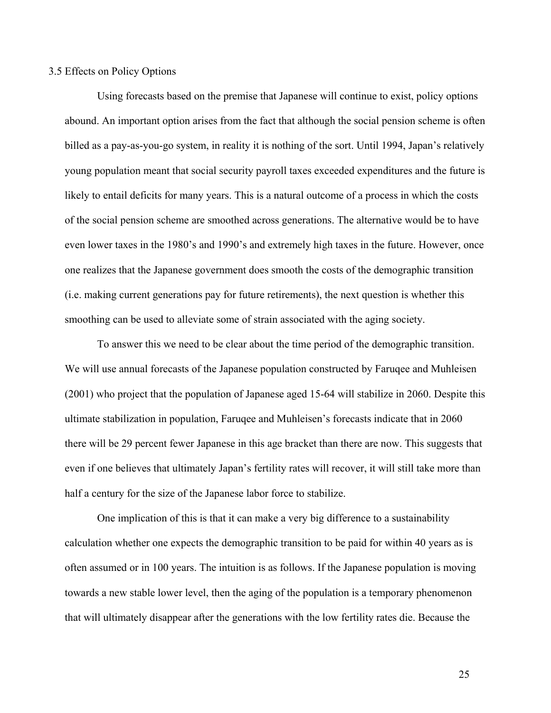#### 3.5 Effects on Policy Options

Using forecasts based on the premise that Japanese will continue to exist, policy options abound. An important option arises from the fact that although the social pension scheme is often billed as a pay-as-you-go system, in reality it is nothing of the sort. Until 1994, Japan's relatively young population meant that social security payroll taxes exceeded expenditures and the future is likely to entail deficits for many years. This is a natural outcome of a process in which the costs of the social pension scheme are smoothed across generations. The alternative would be to have even lower taxes in the 1980's and 1990's and extremely high taxes in the future. However, once one realizes that the Japanese government does smooth the costs of the demographic transition (i.e. making current generations pay for future retirements), the next question is whether this smoothing can be used to alleviate some of strain associated with the aging society.

To answer this we need to be clear about the time period of the demographic transition. We will use annual forecasts of the Japanese population constructed by Faruqee and Muhleisen (2001) who project that the population of Japanese aged 15-64 will stabilize in 2060. Despite this ultimate stabilization in population, Faruqee and Muhleisen's forecasts indicate that in 2060 there will be 29 percent fewer Japanese in this age bracket than there are now. This suggests that even if one believes that ultimately Japan's fertility rates will recover, it will still take more than half a century for the size of the Japanese labor force to stabilize.

One implication of this is that it can make a very big difference to a sustainability calculation whether one expects the demographic transition to be paid for within 40 years as is often assumed or in 100 years. The intuition is as follows. If the Japanese population is moving towards a new stable lower level, then the aging of the population is a temporary phenomenon that will ultimately disappear after the generations with the low fertility rates die. Because the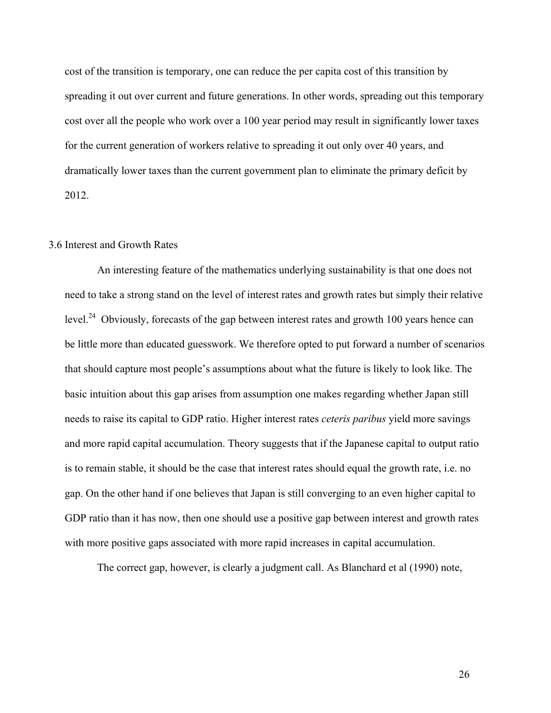cost of the transition is temporary, one can reduce the per capita cost of this transition by spreading it out over current and future generations. In other words, spreading out this temporary cost over all the people who work over a 100 year period may result in significantly lower taxes for the current generation of workers relative to spreading it out only over 40 years, and dramatically lower taxes than the current government plan to eliminate the primary deficit by 2012.

#### 3.6 Interest and Growth Rates

An interesting feature of the mathematics underlying sustainability is that one does not need to take a strong stand on the level of interest rates and growth rates but simply their relative level.<sup>24</sup> Obviously, forecasts of the gap between interest rates and growth 100 years hence can be little more than educated guesswork. We therefore opted to put forward a number of scenarios that should capture most people's assumptions about what the future is likely to look like. The basic intuition about this gap arises from assumption one makes regarding whether Japan still needs to raise its capital to GDP ratio. Higher interest rates *ceteris paribus* yield more savings and more rapid capital accumulation. Theory suggests that if the Japanese capital to output ratio is to remain stable, it should be the case that interest rates should equal the growth rate, i.e. no gap. On the other hand if one believes that Japan is still converging to an even higher capital to GDP ratio than it has now, then one should use a positive gap between interest and growth rates with more positive gaps associated with more rapid increases in capital accumulation.

The correct gap, however, is clearly a judgment call. As Blanchard et al (1990) note,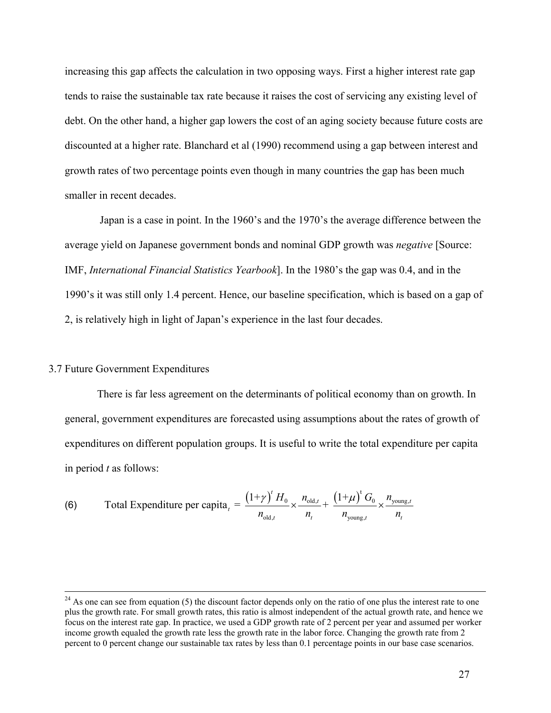increasing this gap affects the calculation in two opposing ways. First a higher interest rate gap tends to raise the sustainable tax rate because it raises the cost of servicing any existing level of debt. On the other hand, a higher gap lowers the cost of an aging society because future costs are discounted at a higher rate. Blanchard et al (1990) recommend using a gap between interest and growth rates of two percentage points even though in many countries the gap has been much smaller in recent decades.

 Japan is a case in point. In the 1960's and the 1970's the average difference between the average yield on Japanese government bonds and nominal GDP growth was *negative* [Source: IMF, *International Financial Statistics Yearbook*]. In the 1980's the gap was 0.4, and in the 1990's it was still only 1.4 percent. Hence, our baseline specification, which is based on a gap of 2, is relatively high in light of Japan's experience in the last four decades.

#### 3.7 Future Government Expenditures

 There is far less agreement on the determinants of political economy than on growth. In general, government expenditures are forecasted using assumptions about the rates of growth of expenditures on different population groups. It is useful to write the total expenditure per capita in period *t* as follows:

(6) Total Expenditure per capita<sub>t</sub> = 
$$
\frac{(1+\gamma)^t H_0}{n_{\text{old},t}} \times \frac{n_{\text{old},t}}{n_t} + \frac{(1+\mu)^t G_0}{n_{\text{young},t}} \times \frac{n_{\text{young},t}}{n_t}
$$

 $^{24}$  As one can see from equation (5) the discount factor depends only on the ratio of one plus the interest rate to one plus the growth rate. For small growth rates, this ratio is almost independent of the actual growth rate, and hence we focus on the interest rate gap. In practice, we used a GDP growth rate of 2 percent per year and assumed per worker income growth equaled the growth rate less the growth rate in the labor force. Changing the growth rate from 2 percent to 0 percent change our sustainable tax rates by less than 0.1 percentage points in our base case scenarios.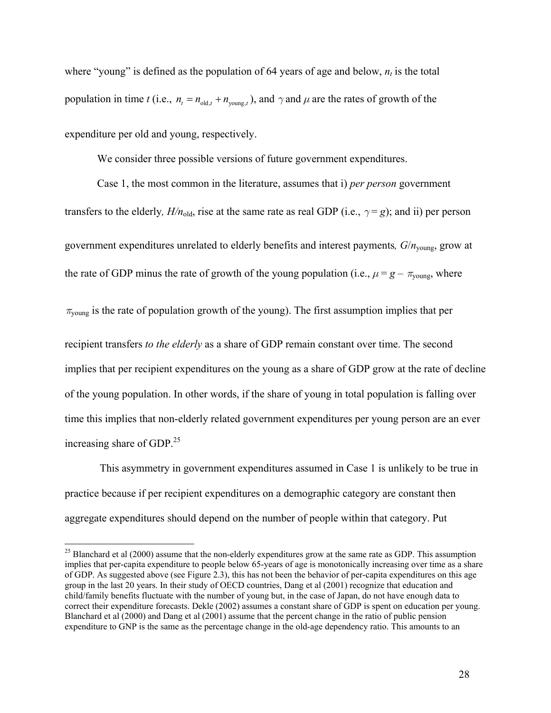where "young" is defined as the population of 64 years of age and below,  $n<sub>t</sub>$  is the total population in time *t* (i.e.,  $n_t = n_{old, t} + n_{voung, t}$ ), and  $\gamma$  and  $\mu$  are the rates of growth of the expenditure per old and young, respectively.

We consider three possible versions of future government expenditures.

Case 1, the most common in the literature, assumes that i) *per person* government transfers to the elderly,  $H/n_{old}$ , rise at the same rate as real GDP (i.e.,  $\gamma = g$ ); and ii) per person government expenditures unrelated to elderly benefits and interest payments*, G*/*n*young, grow at the rate of GDP minus the rate of growth of the young population (i.e.,  $\mu = g - \pi_{\text{voung}}$ , where

 $\pi_{\text{voung}}$  is the rate of population growth of the young). The first assumption implies that per

recipient transfers *to the elderly* as a share of GDP remain constant over time. The second implies that per recipient expenditures on the young as a share of GDP grow at the rate of decline of the young population. In other words, if the share of young in total population is falling over time this implies that non-elderly related government expenditures per young person are an ever increasing share of GDP.<sup>25</sup>

 This asymmetry in government expenditures assumed in Case 1 is unlikely to be true in practice because if per recipient expenditures on a demographic category are constant then aggregate expenditures should depend on the number of people within that category. Put

 $\overline{a}$ 

<sup>&</sup>lt;sup>25</sup> Blanchard et al (2000) assume that the non-elderly expenditures grow at the same rate as GDP. This assumption implies that per-capita expenditure to people below 65-years of age is monotonically increasing over time as a share of GDP. As suggested above (see Figure 2.3), this has not been the behavior of per-capita expenditures on this age group in the last 20 years. In their study of OECD countries, Dang et al (2001) recognize that education and child/family benefits fluctuate with the number of young but, in the case of Japan, do not have enough data to correct their expenditure forecasts. Dekle (2002) assumes a constant share of GDP is spent on education per young. Blanchard et al (2000) and Dang et al (2001) assume that the percent change in the ratio of public pension expenditure to GNP is the same as the percentage change in the old-age dependency ratio. This amounts to an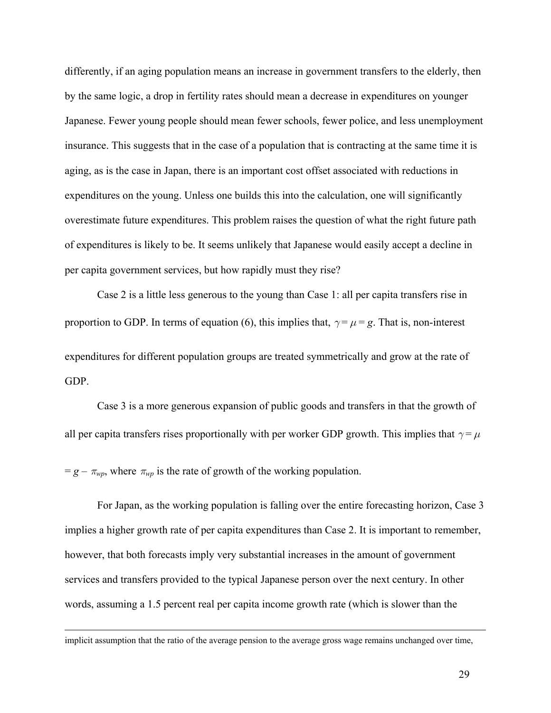differently, if an aging population means an increase in government transfers to the elderly, then by the same logic, a drop in fertility rates should mean a decrease in expenditures on younger Japanese. Fewer young people should mean fewer schools, fewer police, and less unemployment insurance. This suggests that in the case of a population that is contracting at the same time it is aging, as is the case in Japan, there is an important cost offset associated with reductions in expenditures on the young. Unless one builds this into the calculation, one will significantly overestimate future expenditures. This problem raises the question of what the right future path of expenditures is likely to be. It seems unlikely that Japanese would easily accept a decline in per capita government services, but how rapidly must they rise?

Case 2 is a little less generous to the young than Case 1: all per capita transfers rise in proportion to GDP. In terms of equation (6), this implies that,  $\gamma = \mu = g$ . That is, non-interest expenditures for different population groups are treated symmetrically and grow at the rate of GDP.

Case 3 is a more generous expansion of public goods and transfers in that the growth of all per capita transfers rises proportionally with per worker GDP growth. This implies that  $\gamma = \mu$ 

 $= g - \pi_{wp}$ , where  $\pi_{wp}$  is the rate of growth of the working population.

For Japan, as the working population is falling over the entire forecasting horizon, Case 3 implies a higher growth rate of per capita expenditures than Case 2. It is important to remember, however, that both forecasts imply very substantial increases in the amount of government services and transfers provided to the typical Japanese person over the next century. In other words, assuming a 1.5 percent real per capita income growth rate (which is slower than the

implicit assumption that the ratio of the average pension to the average gross wage remains unchanged over time,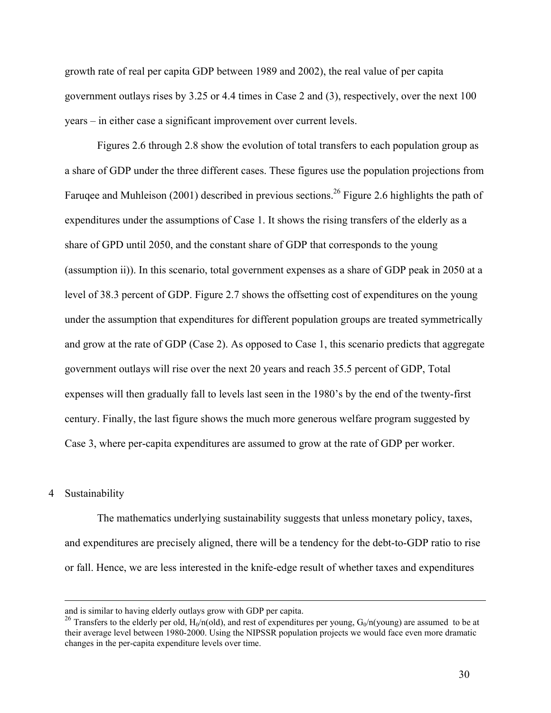growth rate of real per capita GDP between 1989 and 2002), the real value of per capita government outlays rises by 3.25 or 4.4 times in Case 2 and (3), respectively, over the next 100 years – in either case a significant improvement over current levels.

Figures 2.6 through 2.8 show the evolution of total transfers to each population group as a share of GDP under the three different cases. These figures use the population projections from Faruqee and Muhleison (2001) described in previous sections.<sup>26</sup> Figure 2.6 highlights the path of expenditures under the assumptions of Case 1. It shows the rising transfers of the elderly as a share of GPD until 2050, and the constant share of GDP that corresponds to the young (assumption ii)). In this scenario, total government expenses as a share of GDP peak in 2050 at a level of 38.3 percent of GDP. Figure 2.7 shows the offsetting cost of expenditures on the young under the assumption that expenditures for different population groups are treated symmetrically and grow at the rate of GDP (Case 2). As opposed to Case 1, this scenario predicts that aggregate government outlays will rise over the next 20 years and reach 35.5 percent of GDP, Total expenses will then gradually fall to levels last seen in the 1980's by the end of the twenty-first century. Finally, the last figure shows the much more generous welfare program suggested by Case 3, where per-capita expenditures are assumed to grow at the rate of GDP per worker.

#### 4 Sustainability

 The mathematics underlying sustainability suggests that unless monetary policy, taxes, and expenditures are precisely aligned, there will be a tendency for the debt-to-GDP ratio to rise or fall. Hence, we are less interested in the knife-edge result of whether taxes and expenditures

and is similar to having elderly outlays grow with GDP per capita.

<sup>&</sup>lt;sup>26</sup> Transfers to the elderly per old,  $H_0/n(old)$ , and rest of expenditures per young,  $G_0/n($ young) are assumed to be at their average level between 1980-2000. Using the NIPSSR population projects we would face even more dramatic changes in the per-capita expenditure levels over time.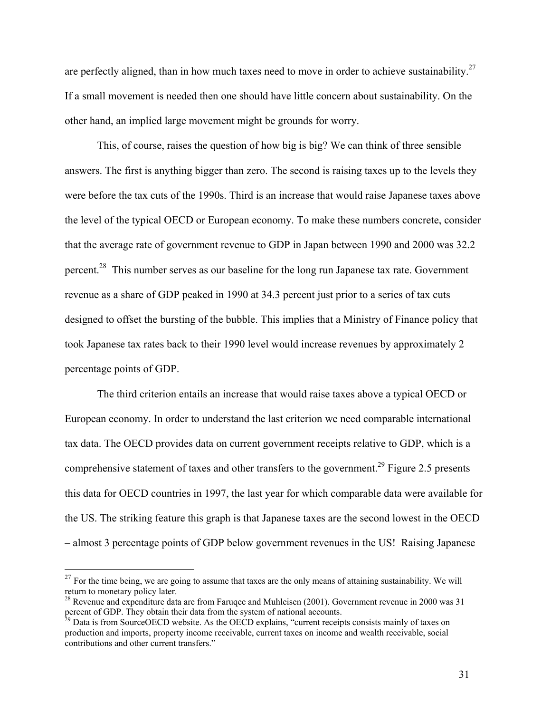are perfectly aligned, than in how much taxes need to move in order to achieve sustainability.<sup>27</sup> If a small movement is needed then one should have little concern about sustainability. On the other hand, an implied large movement might be grounds for worry.

 This, of course, raises the question of how big is big? We can think of three sensible answers. The first is anything bigger than zero. The second is raising taxes up to the levels they were before the tax cuts of the 1990s. Third is an increase that would raise Japanese taxes above the level of the typical OECD or European economy. To make these numbers concrete, consider that the average rate of government revenue to GDP in Japan between 1990 and 2000 was 32.2 percent.28 This number serves as our baseline for the long run Japanese tax rate. Government revenue as a share of GDP peaked in 1990 at 34.3 percent just prior to a series of tax cuts designed to offset the bursting of the bubble. This implies that a Ministry of Finance policy that took Japanese tax rates back to their 1990 level would increase revenues by approximately 2 percentage points of GDP.

 The third criterion entails an increase that would raise taxes above a typical OECD or European economy. In order to understand the last criterion we need comparable international tax data. The OECD provides data on current government receipts relative to GDP, which is a comprehensive statement of taxes and other transfers to the government.<sup>29</sup> Figure 2.5 presents this data for OECD countries in 1997, the last year for which comparable data were available for the US. The striking feature this graph is that Japanese taxes are the second lowest in the OECD – almost 3 percentage points of GDP below government revenues in the US! Raising Japanese

 $27$  For the time being, we are going to assume that taxes are the only means of attaining sustainability. We will return to monetary policy later.

<sup>&</sup>lt;sup>28</sup> Revenue and expenditure data are from Faruqee and Muhleisen (2001). Government revenue in 2000 was 31 percent of GDP. They obtain their data from the system of national accounts.

<sup>&</sup>lt;sup>29</sup> Data is from SourceOECD website. As the OECD explains, "current receipts consists mainly of taxes on production and imports, property income receivable, current taxes on income and wealth receivable, social contributions and other current transfers."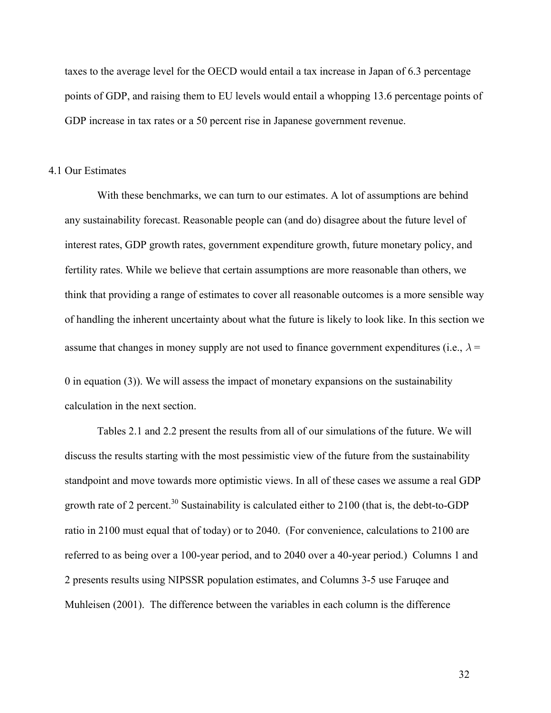taxes to the average level for the OECD would entail a tax increase in Japan of 6.3 percentage points of GDP, and raising them to EU levels would entail a whopping 13.6 percentage points of GDP increase in tax rates or a 50 percent rise in Japanese government revenue.

#### 4.1 Our Estimates

With these benchmarks, we can turn to our estimates. A lot of assumptions are behind any sustainability forecast. Reasonable people can (and do) disagree about the future level of interest rates, GDP growth rates, government expenditure growth, future monetary policy, and fertility rates. While we believe that certain assumptions are more reasonable than others, we think that providing a range of estimates to cover all reasonable outcomes is a more sensible way of handling the inherent uncertainty about what the future is likely to look like. In this section we assume that changes in money supply are not used to finance government expenditures (i.e.,  $\lambda$  = 0 in equation (3)). We will assess the impact of monetary expansions on the sustainability calculation in the next section.

 Tables 2.1 and 2.2 present the results from all of our simulations of the future. We will discuss the results starting with the most pessimistic view of the future from the sustainability standpoint and move towards more optimistic views. In all of these cases we assume a real GDP growth rate of 2 percent.<sup>30</sup> Sustainability is calculated either to  $2100$  (that is, the debt-to-GDP ratio in 2100 must equal that of today) or to 2040. (For convenience, calculations to 2100 are referred to as being over a 100-year period, and to 2040 over a 40-year period.) Columns 1 and 2 presents results using NIPSSR population estimates, and Columns 3-5 use Faruqee and Muhleisen (2001). The difference between the variables in each column is the difference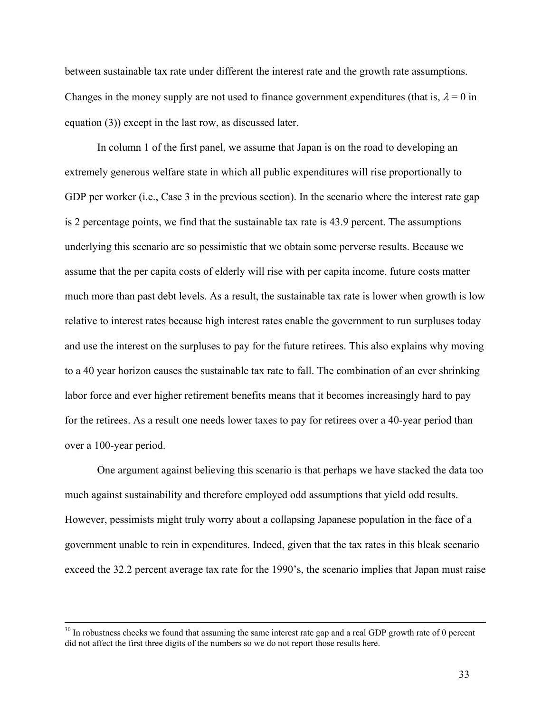between sustainable tax rate under different the interest rate and the growth rate assumptions. Changes in the money supply are not used to finance government expenditures (that is,  $\lambda = 0$  in equation (3)) except in the last row, as discussed later.

In column 1 of the first panel, we assume that Japan is on the road to developing an extremely generous welfare state in which all public expenditures will rise proportionally to GDP per worker (i.e., Case 3 in the previous section). In the scenario where the interest rate gap is 2 percentage points, we find that the sustainable tax rate is 43.9 percent. The assumptions underlying this scenario are so pessimistic that we obtain some perverse results. Because we assume that the per capita costs of elderly will rise with per capita income, future costs matter much more than past debt levels. As a result, the sustainable tax rate is lower when growth is low relative to interest rates because high interest rates enable the government to run surpluses today and use the interest on the surpluses to pay for the future retirees. This also explains why moving to a 40 year horizon causes the sustainable tax rate to fall. The combination of an ever shrinking labor force and ever higher retirement benefits means that it becomes increasingly hard to pay for the retirees. As a result one needs lower taxes to pay for retirees over a 40-year period than over a 100-year period.

 One argument against believing this scenario is that perhaps we have stacked the data too much against sustainability and therefore employed odd assumptions that yield odd results. However, pessimists might truly worry about a collapsing Japanese population in the face of a government unable to rein in expenditures. Indeed, given that the tax rates in this bleak scenario exceed the 32.2 percent average tax rate for the 1990's, the scenario implies that Japan must raise

<sup>&</sup>lt;sup>30</sup> In robustness checks we found that assuming the same interest rate gap and a real GDP growth rate of 0 percent did not affect the first three digits of the numbers so we do not report those results here.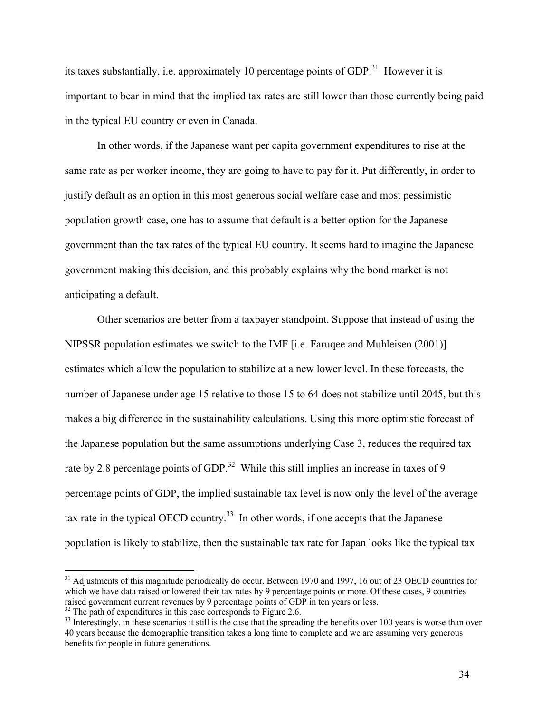its taxes substantially, i.e. approximately 10 percentage points of GDP.<sup>31</sup> However it is important to bear in mind that the implied tax rates are still lower than those currently being paid in the typical EU country or even in Canada.

In other words, if the Japanese want per capita government expenditures to rise at the same rate as per worker income, they are going to have to pay for it. Put differently, in order to justify default as an option in this most generous social welfare case and most pessimistic population growth case, one has to assume that default is a better option for the Japanese government than the tax rates of the typical EU country. It seems hard to imagine the Japanese government making this decision, and this probably explains why the bond market is not anticipating a default.

 Other scenarios are better from a taxpayer standpoint. Suppose that instead of using the NIPSSR population estimates we switch to the IMF [i.e. Faruqee and Muhleisen (2001)] estimates which allow the population to stabilize at a new lower level. In these forecasts, the number of Japanese under age 15 relative to those 15 to 64 does not stabilize until 2045, but this makes a big difference in the sustainability calculations. Using this more optimistic forecast of the Japanese population but the same assumptions underlying Case 3, reduces the required tax rate by 2.8 percentage points of GDP.<sup>32</sup> While this still implies an increase in taxes of 9 percentage points of GDP, the implied sustainable tax level is now only the level of the average tax rate in the typical OECD country.<sup>33</sup> In other words, if one accepts that the Japanese population is likely to stabilize, then the sustainable tax rate for Japan looks like the typical tax

<sup>&</sup>lt;sup>31</sup> Adjustments of this magnitude periodically do occur. Between 1970 and 1997, 16 out of 23 OECD countries for which we have data raised or lowered their tax rates by 9 percentage points or more. Of these cases, 9 countries raised government current revenues by 9 percentage points of GDP in ten years or less.

<sup>&</sup>lt;sup>32</sup> The path of expenditures in this case corresponds to Figure 2.6.

 $33$  Interestingly, in these scenarios it still is the case that the spreading the benefits over 100 years is worse than over 40 years because the demographic transition takes a long time to complete and we are assuming very generous benefits for people in future generations.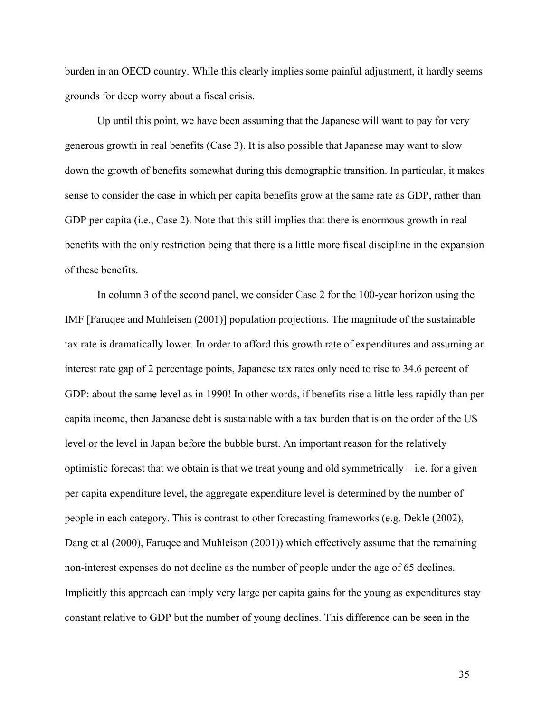burden in an OECD country. While this clearly implies some painful adjustment, it hardly seems grounds for deep worry about a fiscal crisis.

 Up until this point, we have been assuming that the Japanese will want to pay for very generous growth in real benefits (Case 3). It is also possible that Japanese may want to slow down the growth of benefits somewhat during this demographic transition. In particular, it makes sense to consider the case in which per capita benefits grow at the same rate as GDP, rather than GDP per capita (i.e., Case 2). Note that this still implies that there is enormous growth in real benefits with the only restriction being that there is a little more fiscal discipline in the expansion of these benefits.

 In column 3 of the second panel, we consider Case 2 for the 100-year horizon using the IMF [Faruqee and Muhleisen (2001)] population projections. The magnitude of the sustainable tax rate is dramatically lower. In order to afford this growth rate of expenditures and assuming an interest rate gap of 2 percentage points, Japanese tax rates only need to rise to 34.6 percent of GDP: about the same level as in 1990! In other words, if benefits rise a little less rapidly than per capita income, then Japanese debt is sustainable with a tax burden that is on the order of the US level or the level in Japan before the bubble burst. An important reason for the relatively optimistic forecast that we obtain is that we treat young and old symmetrically  $-$  i.e. for a given per capita expenditure level, the aggregate expenditure level is determined by the number of people in each category. This is contrast to other forecasting frameworks (e.g. Dekle (2002), Dang et al (2000), Faruqee and Muhleison (2001)) which effectively assume that the remaining non-interest expenses do not decline as the number of people under the age of 65 declines. Implicitly this approach can imply very large per capita gains for the young as expenditures stay constant relative to GDP but the number of young declines. This difference can be seen in the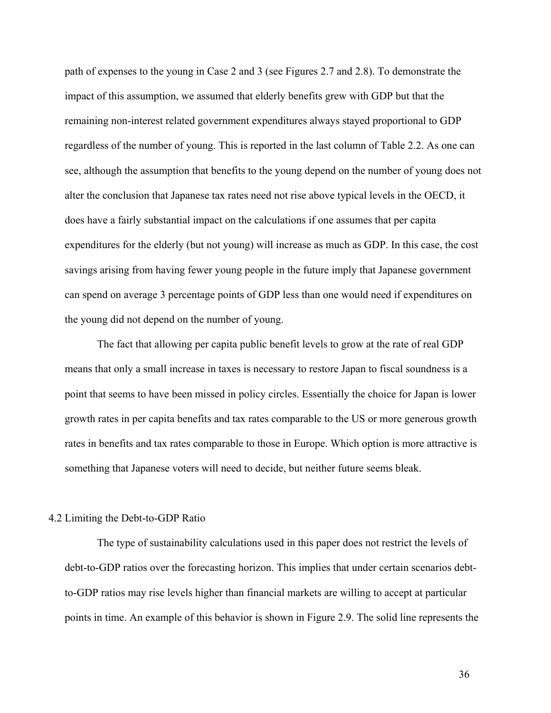path of expenses to the young in Case 2 and 3 (see Figures 2.7 and 2.8). To demonstrate the impact of this assumption, we assumed that elderly benefits grew with GDP but that the remaining non-interest related government expenditures always stayed proportional to GDP regardless of the number of young. This is reported in the last column of Table 2.2. As one can see, although the assumption that benefits to the young depend on the number of young does not alter the conclusion that Japanese tax rates need not rise above typical levels in the OECD, it does have a fairly substantial impact on the calculations if one assumes that per capita expenditures for the elderly (but not young) will increase as much as GDP. In this case, the cost savings arising from having fewer young people in the future imply that Japanese government can spend on average 3 percentage points of GDP less than one would need if expenditures on the young did not depend on the number of young.

 The fact that allowing per capita public benefit levels to grow at the rate of real GDP means that only a small increase in taxes is necessary to restore Japan to fiscal soundness is a point that seems to have been missed in policy circles. Essentially the choice for Japan is lower growth rates in per capita benefits and tax rates comparable to the US or more generous growth rates in benefits and tax rates comparable to those in Europe. Which option is more attractive is something that Japanese voters will need to decide, but neither future seems bleak.

#### 4.2 Limiting the Debt-to-GDP Ratio

 The type of sustainability calculations used in this paper does not restrict the levels of debt-to-GDP ratios over the forecasting horizon. This implies that under certain scenarios debtto-GDP ratios may rise levels higher than financial markets are willing to accept at particular points in time. An example of this behavior is shown in Figure 2.9. The solid line represents the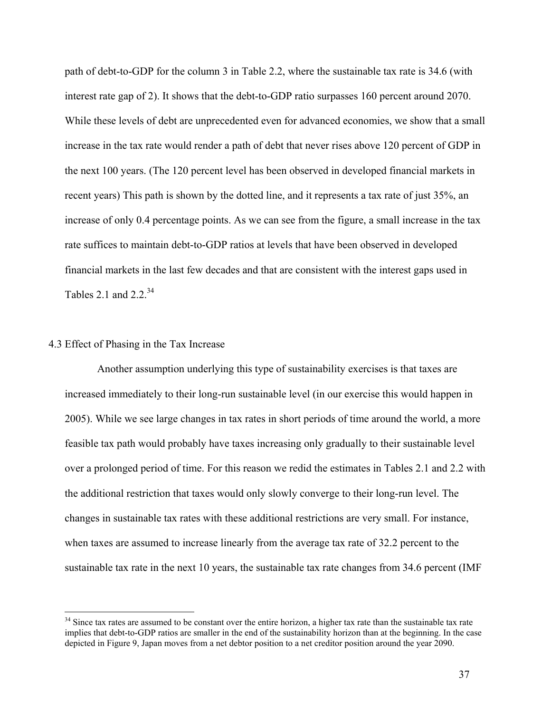path of debt-to-GDP for the column 3 in Table 2.2, where the sustainable tax rate is 34.6 (with interest rate gap of 2). It shows that the debt-to-GDP ratio surpasses 160 percent around 2070. While these levels of debt are unprecedented even for advanced economies, we show that a small increase in the tax rate would render a path of debt that never rises above 120 percent of GDP in the next 100 years. (The 120 percent level has been observed in developed financial markets in recent years) This path is shown by the dotted line, and it represents a tax rate of just 35%, an increase of only 0.4 percentage points. As we can see from the figure, a small increase in the tax rate suffices to maintain debt-to-GDP ratios at levels that have been observed in developed financial markets in the last few decades and that are consistent with the interest gaps used in Tables 2.1 and  $2.2<sup>34</sup>$ 

### 4.3 Effect of Phasing in the Tax Increase

 $\overline{a}$ 

 Another assumption underlying this type of sustainability exercises is that taxes are increased immediately to their long-run sustainable level (in our exercise this would happen in 2005). While we see large changes in tax rates in short periods of time around the world, a more feasible tax path would probably have taxes increasing only gradually to their sustainable level over a prolonged period of time. For this reason we redid the estimates in Tables 2.1 and 2.2 with the additional restriction that taxes would only slowly converge to their long-run level. The changes in sustainable tax rates with these additional restrictions are very small. For instance, when taxes are assumed to increase linearly from the average tax rate of 32.2 percent to the sustainable tax rate in the next 10 years, the sustainable tax rate changes from 34.6 percent (IMF

 $34$  Since tax rates are assumed to be constant over the entire horizon, a higher tax rate than the sustainable tax rate implies that debt-to-GDP ratios are smaller in the end of the sustainability horizon than at the beginning. In the case depicted in Figure 9, Japan moves from a net debtor position to a net creditor position around the year 2090.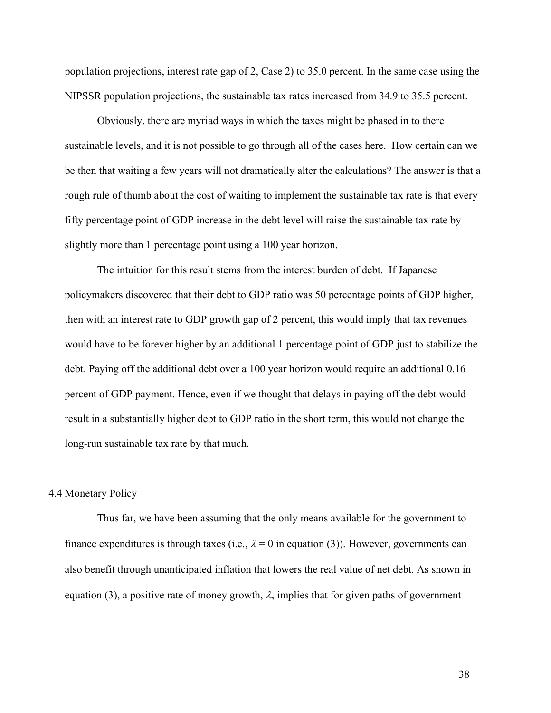population projections, interest rate gap of 2, Case 2) to 35.0 percent. In the same case using the NIPSSR population projections, the sustainable tax rates increased from 34.9 to 35.5 percent.

 Obviously, there are myriad ways in which the taxes might be phased in to there sustainable levels, and it is not possible to go through all of the cases here. How certain can we be then that waiting a few years will not dramatically alter the calculations? The answer is that a rough rule of thumb about the cost of waiting to implement the sustainable tax rate is that every fifty percentage point of GDP increase in the debt level will raise the sustainable tax rate by slightly more than 1 percentage point using a 100 year horizon.

 The intuition for this result stems from the interest burden of debt. If Japanese policymakers discovered that their debt to GDP ratio was 50 percentage points of GDP higher, then with an interest rate to GDP growth gap of 2 percent, this would imply that tax revenues would have to be forever higher by an additional 1 percentage point of GDP just to stabilize the debt. Paying off the additional debt over a 100 year horizon would require an additional 0.16 percent of GDP payment. Hence, even if we thought that delays in paying off the debt would result in a substantially higher debt to GDP ratio in the short term, this would not change the long-run sustainable tax rate by that much.

#### 4.4 Monetary Policy

 Thus far, we have been assuming that the only means available for the government to finance expenditures is through taxes (i.e.,  $\lambda = 0$  in equation (3)). However, governments can also benefit through unanticipated inflation that lowers the real value of net debt. As shown in equation (3), a positive rate of money growth,  $\lambda$ , implies that for given paths of government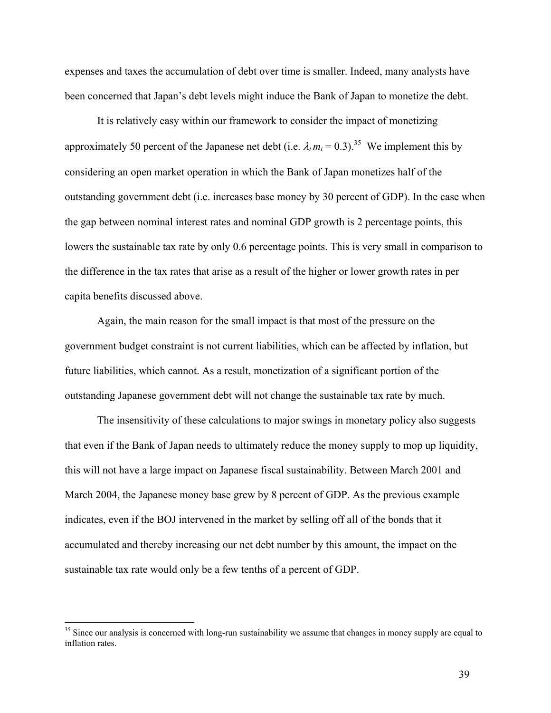expenses and taxes the accumulation of debt over time is smaller. Indeed, many analysts have been concerned that Japan's debt levels might induce the Bank of Japan to monetize the debt.

It is relatively easy within our framework to consider the impact of monetizing approximately 50 percent of the Japanese net debt (i.e.  $\lambda_t m_t = 0.3$ ).<sup>35</sup> We implement this by considering an open market operation in which the Bank of Japan monetizes half of the outstanding government debt (i.e. increases base money by 30 percent of GDP). In the case when the gap between nominal interest rates and nominal GDP growth is 2 percentage points, this lowers the sustainable tax rate by only 0.6 percentage points. This is very small in comparison to the difference in the tax rates that arise as a result of the higher or lower growth rates in per capita benefits discussed above.

Again, the main reason for the small impact is that most of the pressure on the government budget constraint is not current liabilities, which can be affected by inflation, but future liabilities, which cannot. As a result, monetization of a significant portion of the outstanding Japanese government debt will not change the sustainable tax rate by much.

 The insensitivity of these calculations to major swings in monetary policy also suggests that even if the Bank of Japan needs to ultimately reduce the money supply to mop up liquidity, this will not have a large impact on Japanese fiscal sustainability. Between March 2001 and March 2004, the Japanese money base grew by 8 percent of GDP. As the previous example indicates, even if the BOJ intervened in the market by selling off all of the bonds that it accumulated and thereby increasing our net debt number by this amount, the impact on the sustainable tax rate would only be a few tenths of a percent of GDP.

 $\overline{a}$ 

<sup>&</sup>lt;sup>35</sup> Since our analysis is concerned with long-run sustainability we assume that changes in money supply are equal to inflation rates.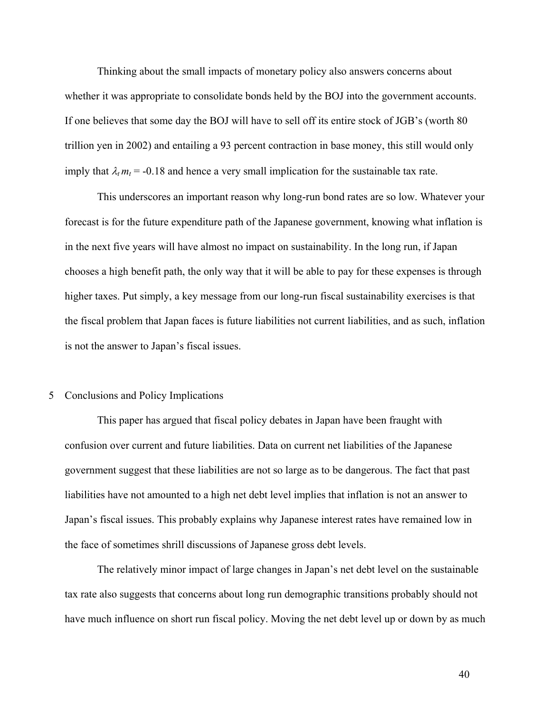Thinking about the small impacts of monetary policy also answers concerns about whether it was appropriate to consolidate bonds held by the BOJ into the government accounts. If one believes that some day the BOJ will have to sell off its entire stock of JGB's (worth 80 trillion yen in 2002) and entailing a 93 percent contraction in base money, this still would only imply that  $\lambda_t m_t = -0.18$  and hence a very small implication for the sustainable tax rate.

 This underscores an important reason why long-run bond rates are so low. Whatever your forecast is for the future expenditure path of the Japanese government, knowing what inflation is in the next five years will have almost no impact on sustainability. In the long run, if Japan chooses a high benefit path, the only way that it will be able to pay for these expenses is through higher taxes. Put simply, a key message from our long-run fiscal sustainability exercises is that the fiscal problem that Japan faces is future liabilities not current liabilities, and as such, inflation is not the answer to Japan's fiscal issues.

#### 5 Conclusions and Policy Implications

 This paper has argued that fiscal policy debates in Japan have been fraught with confusion over current and future liabilities. Data on current net liabilities of the Japanese government suggest that these liabilities are not so large as to be dangerous. The fact that past liabilities have not amounted to a high net debt level implies that inflation is not an answer to Japan's fiscal issues. This probably explains why Japanese interest rates have remained low in the face of sometimes shrill discussions of Japanese gross debt levels.

 The relatively minor impact of large changes in Japan's net debt level on the sustainable tax rate also suggests that concerns about long run demographic transitions probably should not have much influence on short run fiscal policy. Moving the net debt level up or down by as much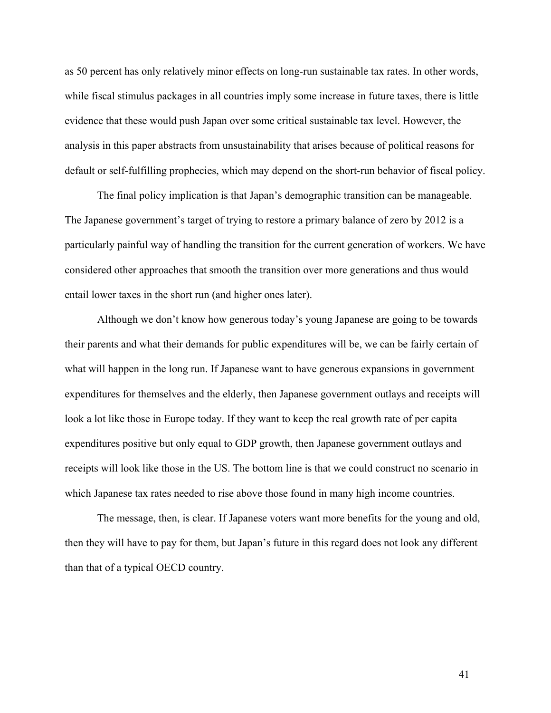as 50 percent has only relatively minor effects on long-run sustainable tax rates. In other words, while fiscal stimulus packages in all countries imply some increase in future taxes, there is little evidence that these would push Japan over some critical sustainable tax level. However, the analysis in this paper abstracts from unsustainability that arises because of political reasons for default or self-fulfilling prophecies, which may depend on the short-run behavior of fiscal policy.

 The final policy implication is that Japan's demographic transition can be manageable. The Japanese government's target of trying to restore a primary balance of zero by 2012 is a particularly painful way of handling the transition for the current generation of workers. We have considered other approaches that smooth the transition over more generations and thus would entail lower taxes in the short run (and higher ones later).

Although we don't know how generous today's young Japanese are going to be towards their parents and what their demands for public expenditures will be, we can be fairly certain of what will happen in the long run. If Japanese want to have generous expansions in government expenditures for themselves and the elderly, then Japanese government outlays and receipts will look a lot like those in Europe today. If they want to keep the real growth rate of per capita expenditures positive but only equal to GDP growth, then Japanese government outlays and receipts will look like those in the US. The bottom line is that we could construct no scenario in which Japanese tax rates needed to rise above those found in many high income countries.

The message, then, is clear. If Japanese voters want more benefits for the young and old, then they will have to pay for them, but Japan's future in this regard does not look any different than that of a typical OECD country.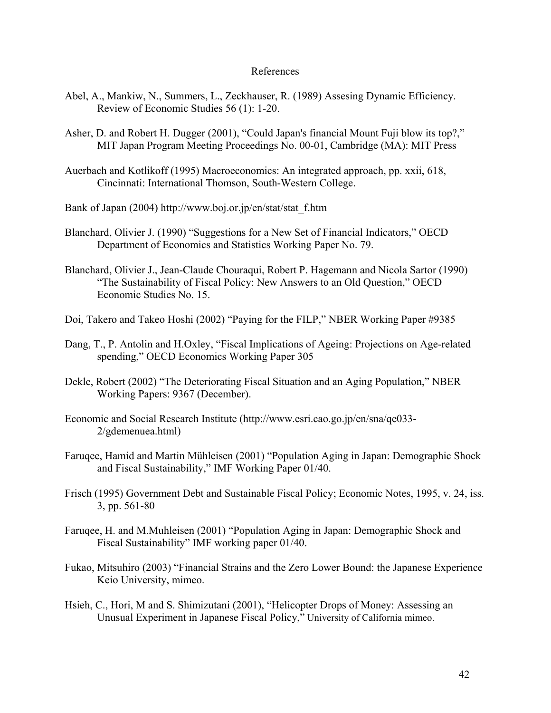#### References

- Abel, A., Mankiw, N., Summers, L., Zeckhauser, R. (1989) Assesing Dynamic Efficiency. Review of Economic Studies 56 (1): 1-20.
- Asher, D. and Robert H. Dugger (2001), "Could Japan's financial Mount Fuji blow its top?," MIT Japan Program Meeting Proceedings No. 00-01, Cambridge (MA): MIT Press
- Auerbach and Kotlikoff (1995) Macroeconomics: An integrated approach, pp. xxii, 618, Cincinnati: International Thomson, South-Western College.
- Bank of Japan (2004) http://www.boj.or.jp/en/stat/stat\_f.htm
- Blanchard, Olivier J. (1990) "Suggestions for a New Set of Financial Indicators," OECD Department of Economics and Statistics Working Paper No. 79.
- Blanchard, Olivier J., Jean-Claude Chouraqui, Robert P. Hagemann and Nicola Sartor (1990) "The Sustainability of Fiscal Policy: New Answers to an Old Question," OECD Economic Studies No. 15.
- Doi, Takero and Takeo Hoshi (2002) "Paying for the FILP," NBER Working Paper #9385
- Dang, T., P. Antolin and H.Oxley, "Fiscal Implications of Ageing: Projections on Age-related spending," OECD Economics Working Paper 305
- Dekle, Robert (2002) "The Deteriorating Fiscal Situation and an Aging Population," NBER Working Papers: 9367 (December).
- Economic and Social Research Institute (http://www.esri.cao.go.jp/en/sna/qe033- 2/gdemenuea.html)
- Faruqee, Hamid and Martin Mühleisen (2001) "Population Aging in Japan: Demographic Shock and Fiscal Sustainability," IMF Working Paper 01/40.
- Frisch (1995) Government Debt and Sustainable Fiscal Policy; Economic Notes, 1995, v. 24, iss. 3, pp. 561-80
- Faruqee, H. and M.Muhleisen (2001) "Population Aging in Japan: Demographic Shock and Fiscal Sustainability" IMF working paper 01/40.
- Fukao, Mitsuhiro (2003) "Financial Strains and the Zero Lower Bound: the Japanese Experience Keio University, mimeo.
- Hsieh, C., Hori, M and S. Shimizutani (2001), "Helicopter Drops of Money: Assessing an Unusual Experiment in Japanese Fiscal Policy," University of California mimeo.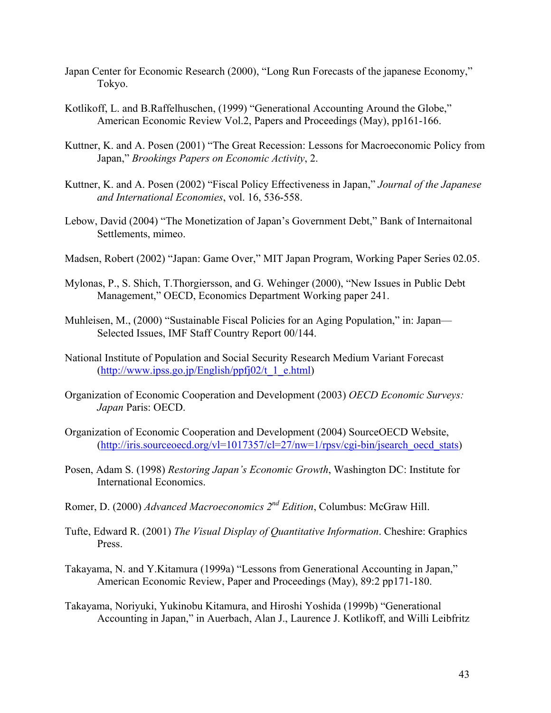- Japan Center for Economic Research (2000), "Long Run Forecasts of the japanese Economy," Tokyo.
- Kotlikoff, L. and B.Raffelhuschen, (1999) "Generational Accounting Around the Globe," American Economic Review Vol.2, Papers and Proceedings (May), pp161-166.
- Kuttner, K. and A. Posen (2001) "The Great Recession: Lessons for Macroeconomic Policy from Japan," *Brookings Papers on Economic Activity*, 2.
- Kuttner, K. and A. Posen (2002) "Fiscal Policy Effectiveness in Japan," *Journal of the Japanese and International Economies*, vol. 16, 536-558.
- Lebow, David (2004) "The Monetization of Japan's Government Debt," Bank of Internaitonal Settlements, mimeo.
- Madsen, Robert (2002) "Japan: Game Over," MIT Japan Program, Working Paper Series 02.05.
- Mylonas, P., S. Shich, T.Thorgiersson, and G. Wehinger (2000), "New Issues in Public Debt Management," OECD, Economics Department Working paper 241.
- Muhleisen, M., (2000) "Sustainable Fiscal Policies for an Aging Population," in: Japan— Selected Issues, IMF Staff Country Report 00/144.
- National Institute of Population and Social Security Research Medium Variant Forecast  $(http://www.ipss.gov.jp/English/ppfj02/t_1e.html)$
- Organization of Economic Cooperation and Development (2003) *OECD Economic Surveys: Japan* Paris: OECD.
- Organization of Economic Cooperation and Development (2004) SourceOECD Website,  $(\frac{http://iris.sourceoecd.org/vl=1017357/cl=27/nw=1/rpsv/cgi-bin/isearch-oecd stats})$
- Posen, Adam S. (1998) *Restoring Japan's Economic Growth*, Washington DC: Institute for International Economics.
- Romer, D. (2000) *Advanced Macroeconomics 2nd Edition*, Columbus: McGraw Hill.
- Tufte, Edward R. (2001) *The Visual Display of Quantitative Information*. Cheshire: Graphics Press.
- Takayama, N. and Y.Kitamura (1999a) "Lessons from Generational Accounting in Japan," American Economic Review, Paper and Proceedings (May), 89:2 pp171-180.
- Takayama, Noriyuki, Yukinobu Kitamura, and Hiroshi Yoshida (1999b) "Generational Accounting in Japan," in Auerbach, Alan J., Laurence J. Kotlikoff, and Willi Leibfritz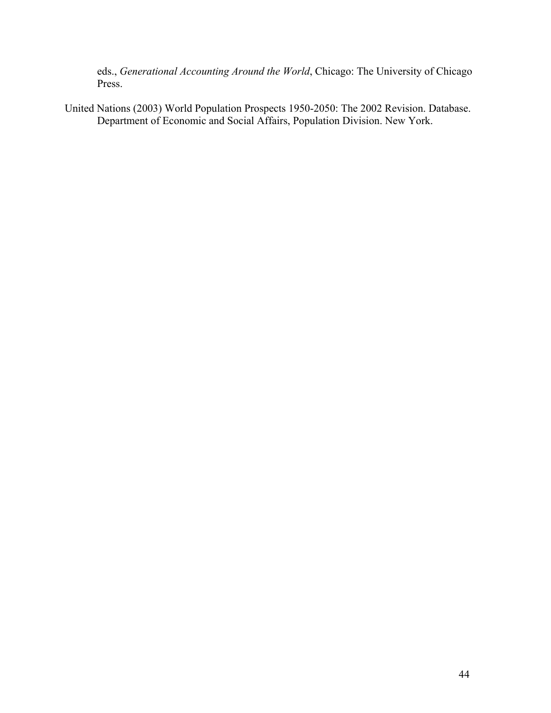eds., *Generational Accounting Around the World*, Chicago: The University of Chicago Press.

United Nations (2003) World Population Prospects 1950-2050: The 2002 Revision. Database. Department of Economic and Social Affairs, Population Division. New York.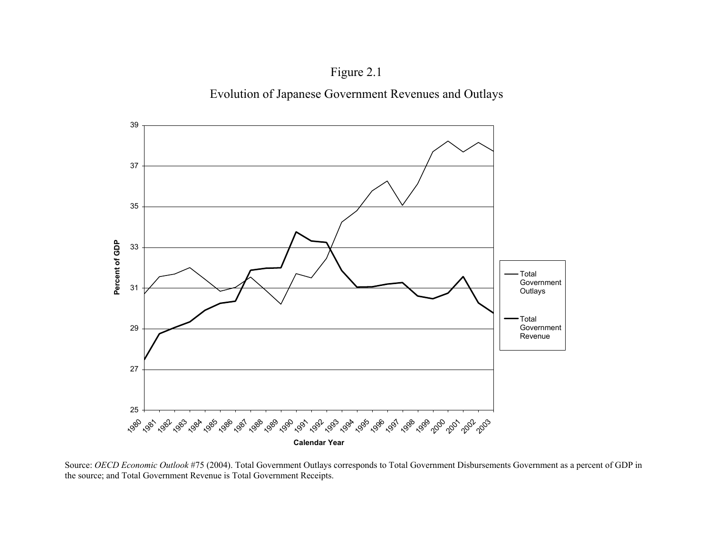



Source: *OECD Economic Outlook* #75 (2004). Total Government Outlays corresponds to Total Government Disbursements Government as a percent of GDP in the source; and Total Government Revenue is Total Government Receipts.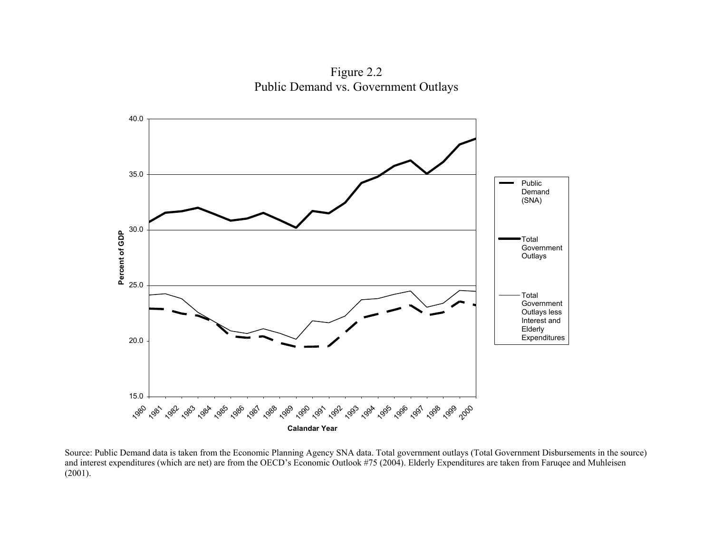Figure 2.2 Public Demand vs. Government Outlays



Source: Public Demand data is taken from the Economic Planning Agency SNA data. Total government outlays (Total Government Disbursements in the source) and interest expenditures (which are net) are from the OECD's Economic Outlook #75 (2004). Elderly Expenditures are taken from Faruqee and Muhleisen (2001).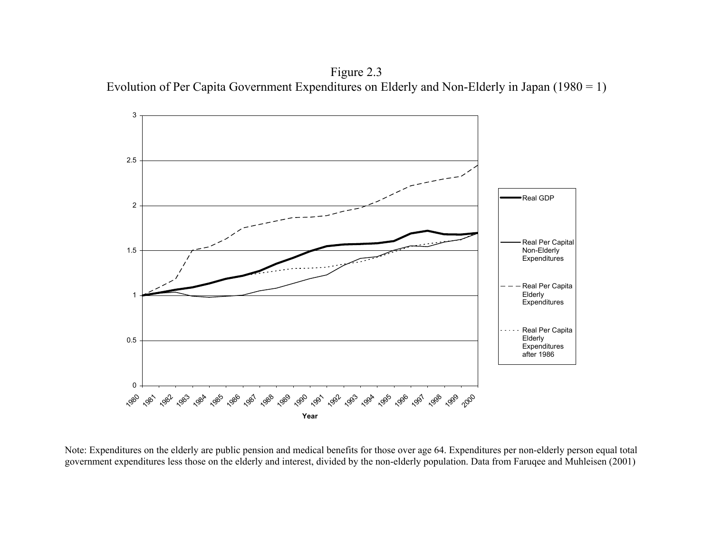Figure 2.3 Evolution of Per Capita Government Expenditures on Elderly and Non-Elderly in Japan (1980 = 1)



Note: Expenditures on the elderly are public pension and medical benefits for those over age 64. Expenditures per non-elderly person equal total government expenditures less those on the elderly and interest, divided by the non-elderly population. Data from Faruqee and Muhleisen (2001)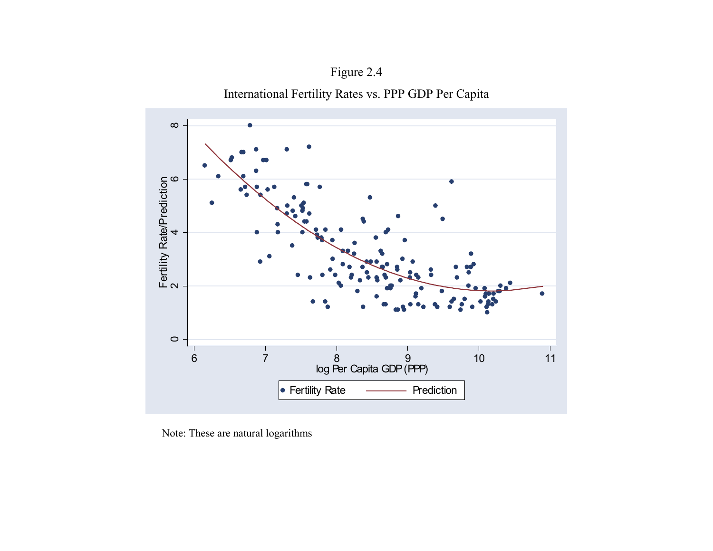



Note: These are natural logarithms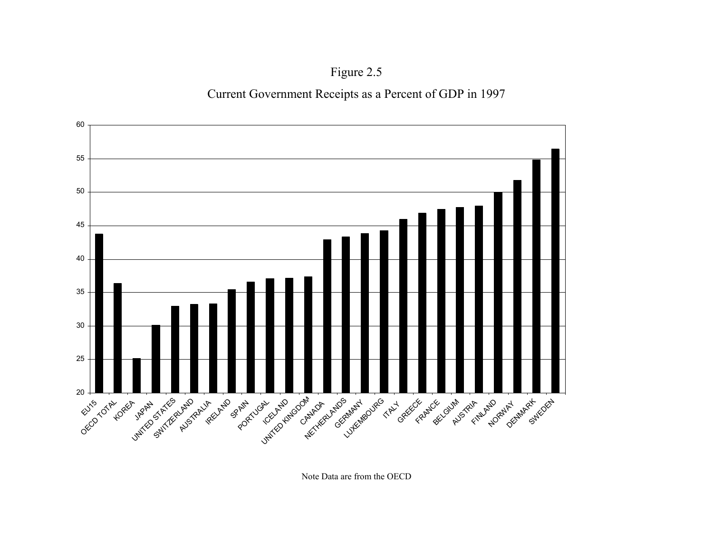Figure 2.5 Current Government Receipts as a Percent of GDP in 1997



Note Data are from the OECD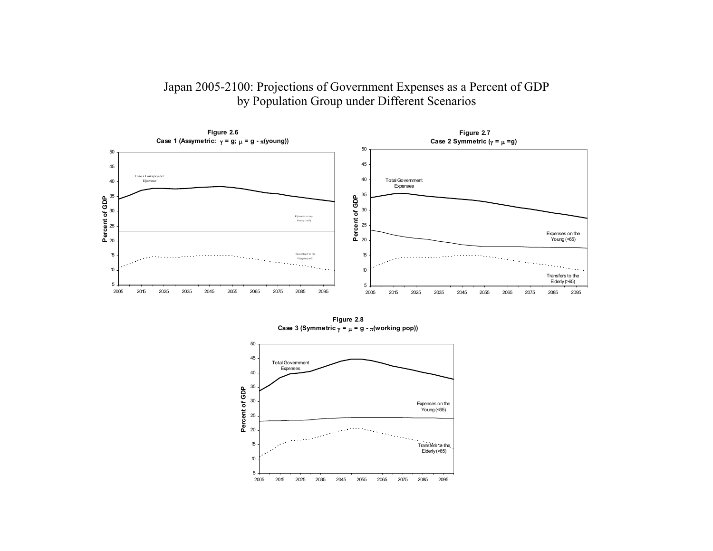# Japan 2005-2100: Projections of Government Expenses as a Percent of GDP by Population Group under Different Scenarios



**Figure 2.8 Case 3 (Symmetric** γ **=** <sup>µ</sup> **= g -** π**(working pop))**

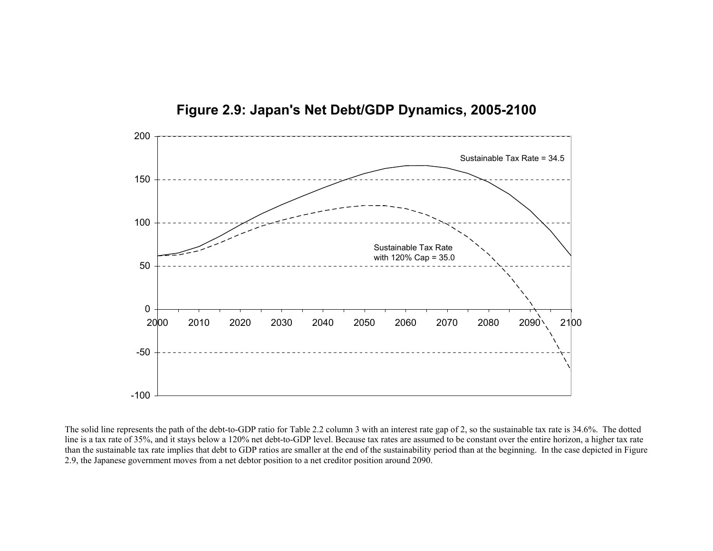

**Figure 2.9: Japan's Net Debt/GDP Dynamics, 2005-2100** 

The solid line represents the path of the debt-to-GDP ratio for Table 2.2 column 3 with an interest rate gap of 2, so the sustainable tax rate is 34.6%. The dotted line is a tax rate of 35%, and it stays below a 120% net debt-to-GDP level. Because tax rates are assumed to be constant over the entire horizon, a higher tax rate than the sustainable tax rate implies that debt to GDP ratios are smaller at the end of the sustainability period than at the beginning. In the case depicted in Figure 2.9, the Japanese government moves from a net debtor position to a net creditor position around 2090.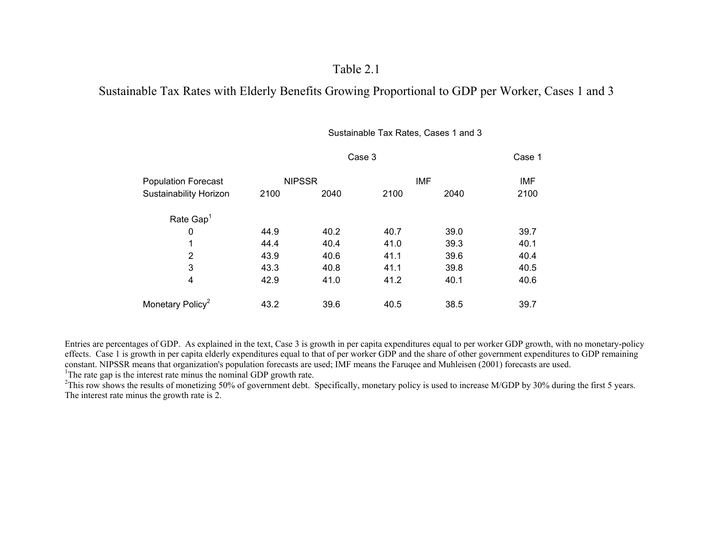# Table 2.1

# Sustainable Tax Rates with Elderly Benefits Growing Proportional to GDP per Worker, Cases 1 and 3

#### Sustainable Tax Rates, Cases 1 and 3

| <b>Population Forecast</b>   |               | Case 1 |            |      |            |
|------------------------------|---------------|--------|------------|------|------------|
|                              | <b>NIPSSR</b> |        | <b>IMF</b> |      | <b>IMF</b> |
| Sustainability Horizon       | 2100          | 2040   | 2100       | 2040 | 2100       |
| Rate $Gap1$                  |               |        |            |      |            |
| 0                            | 44.9          | 40.2   | 40.7       | 39.0 | 39.7       |
| 1                            | 44.4          | 40.4   | 41.0       | 39.3 | 40.1       |
| $\overline{2}$               | 43.9          | 40.6   | 41.1       | 39.6 | 40.4       |
| 3                            | 43.3          | 40.8   | 41.1       | 39.8 | 40.5       |
| 4                            | 42.9          | 41.0   | 41.2       | 40.1 | 40.6       |
| Monetary Policy <sup>2</sup> | 43.2          | 39.6   | 40.5       | 38.5 | 39.7       |
|                              |               |        |            |      |            |

Entries are percentages of GDP. As explained in the text, Case 3 is growth in per capita expenditures equal to per worker GDP growth, with no monetary-policy effects. Case 1 is growth in per capita elderly expenditures equal to that of per worker GDP and the share of other government expenditures to GDP remaining constant. NIPSSR means that organization's population forecasts are used; IMF means the Faruqee and Muhleisen (2001) forecasts are used. <sup>1</sup>The rate gap is the interest rate minus the nominal GDP growth rate.

<sup>2</sup>This row shows the results of monetizing 50% of government debt. Specifically, monetary policy is used to increase M/GDP by 30% during the first 5 years. The interest rate minus the growth rate is 2.